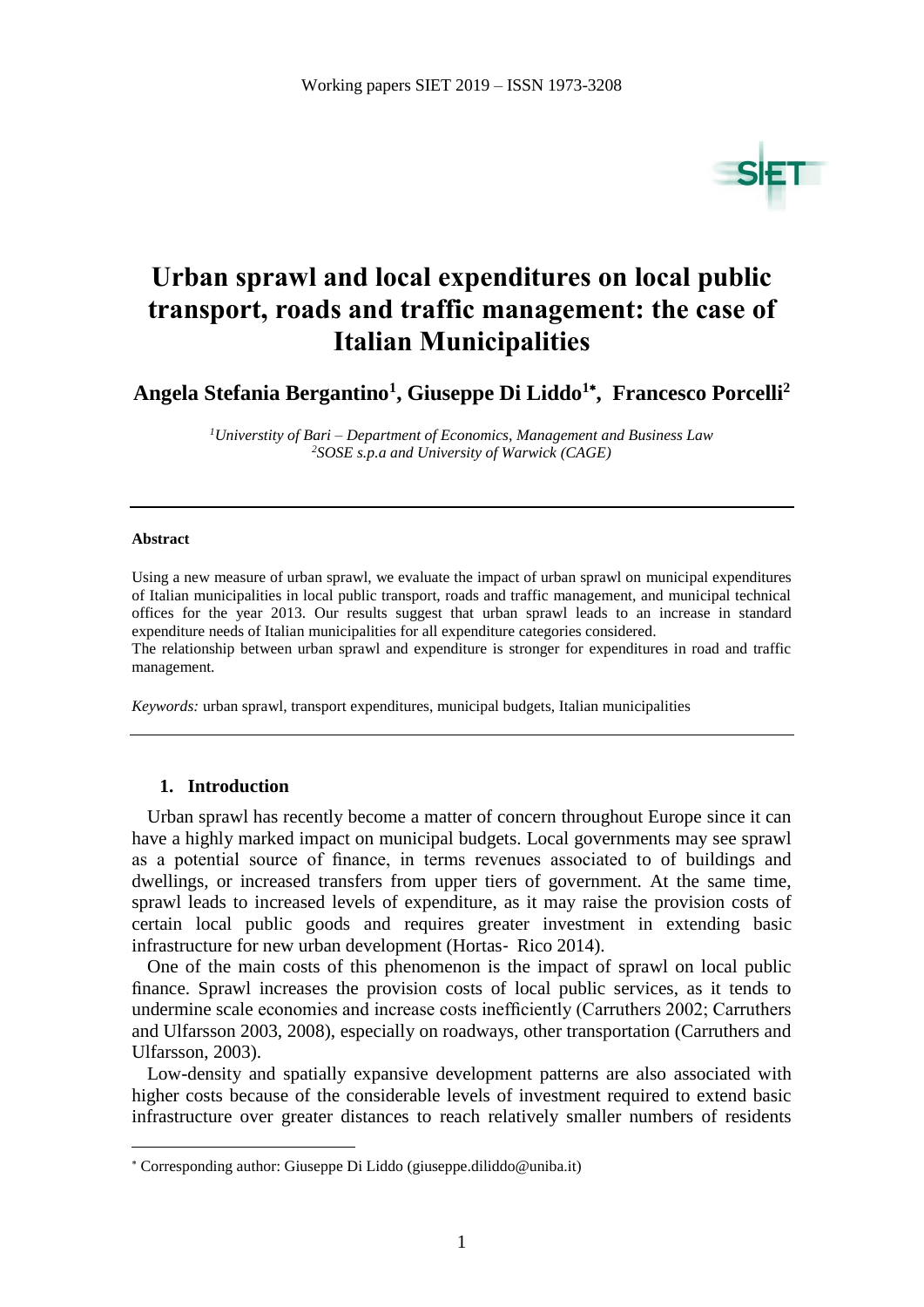

# **Urban sprawl and local expenditures on local public transport, roads and traffic management: the case of Italian Municipalities**

**Angela Stefania Bergantino<sup>1</sup> , Giuseppe Di Liddo<sup>1</sup> , Francesco Porcelli<sup>2</sup>**

*<sup>1</sup>Universtity of Bari – Department of Economics, Management and Business Law <sup>2</sup>SOSE s.p.a and University of Warwick (CAGE)*

#### **Abstract**

 $\overline{a}$ 

Using a new measure of urban sprawl, we evaluate the impact of urban sprawl on municipal expenditures of Italian municipalities in local public transport, roads and traffic management, and municipal technical offices for the year 2013. Our results suggest that urban sprawl leads to an increase in standard expenditure needs of Italian municipalities for all expenditure categories considered. The relationship between urban sprawl and expenditure is stronger for expenditures in road and traffic management.

*Keywords:* urban sprawl, transport expenditures, municipal budgets, Italian municipalities

#### **1. Introduction**

Urban sprawl has recently become a matter of concern throughout Europe since it can have a highly marked impact on municipal budgets. Local governments may see sprawl as a potential source of finance, in terms revenues associated to of buildings and dwellings, or increased transfers from upper tiers of government. At the same time, sprawl leads to increased levels of expenditure, as it may raise the provision costs of certain local public goods and requires greater investment in extending basic infrastructure for new urban development (Hortas-Rico 2014).

One of the main costs of this phenomenon is the impact of sprawl on local public finance. Sprawl increases the provision costs of local public services, as it tends to undermine scale economies and increase costs inefficiently (Carruthers 2002; Carruthers and Ulfarsson 2003, 2008), especially on roadways, other transportation (Carruthers and Ulfarsson, 2003).

Low-density and spatially expansive development patterns are also associated with higher costs because of the considerable levels of investment required to extend basic infrastructure over greater distances to reach relatively smaller numbers of residents

Corresponding author: Giuseppe Di Liddo (giuseppe.diliddo@uniba.it)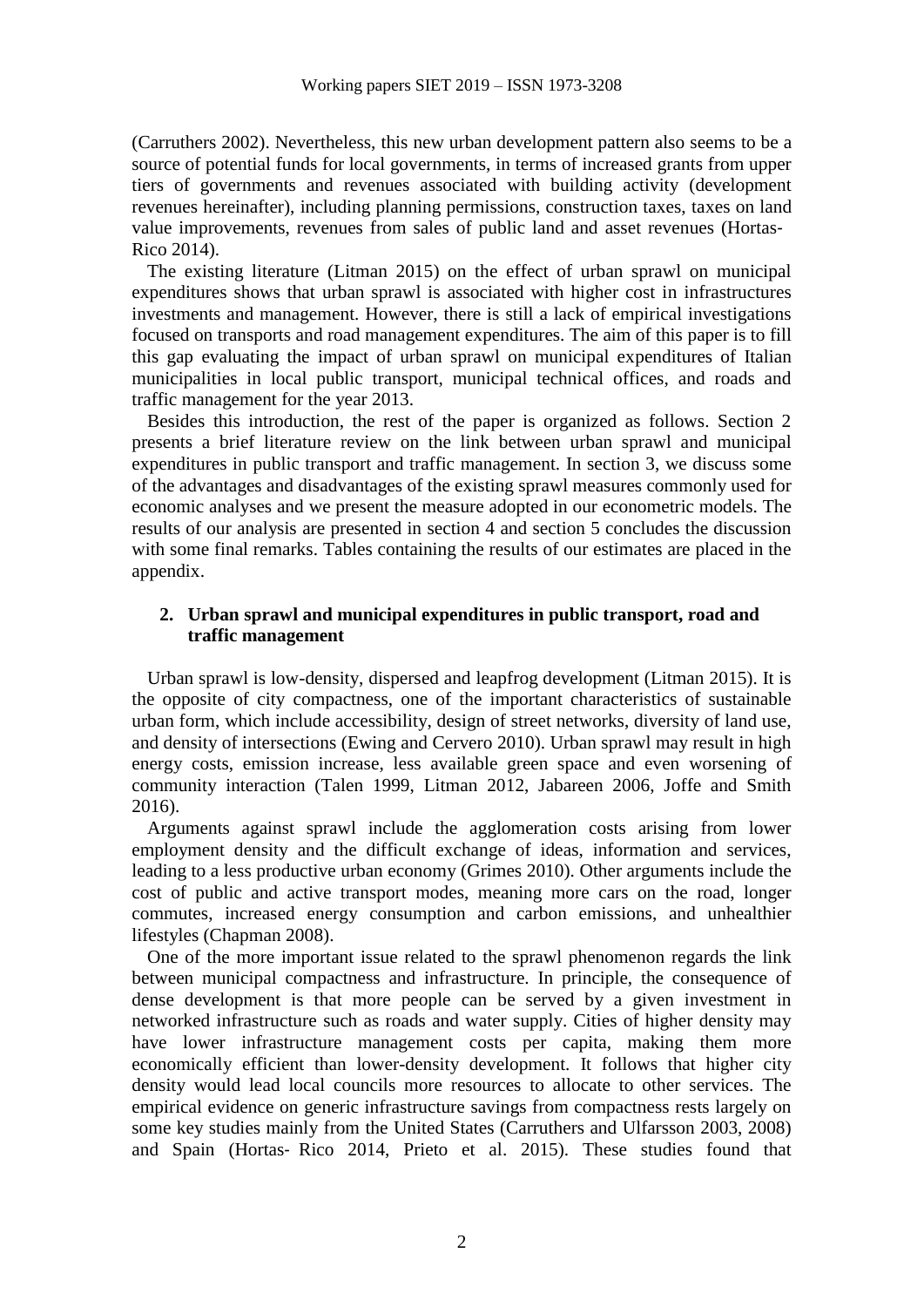(Carruthers 2002). Nevertheless, this new urban development pattern also seems to be a source of potential funds for local governments, in terms of increased grants from upper tiers of governments and revenues associated with building activity (development revenues hereinafter), including planning permissions, construction taxes, taxes on land value improvements, revenues from sales of public land and asset revenues (Hortas‐ Rico 2014).

The existing literature (Litman 2015) on the effect of urban sprawl on municipal expenditures shows that urban sprawl is associated with higher cost in infrastructures investments and management. However, there is still a lack of empirical investigations focused on transports and road management expenditures. The aim of this paper is to fill this gap evaluating the impact of urban sprawl on municipal expenditures of Italian municipalities in local public transport, municipal technical offices, and roads and traffic management for the year 2013.

Besides this introduction, the rest of the paper is organized as follows. Section 2 presents a brief literature review on the link between urban sprawl and municipal expenditures in public transport and traffic management. In section 3, we discuss some of the advantages and disadvantages of the existing sprawl measures commonly used for economic analyses and we present the measure adopted in our econometric models. The results of our analysis are presented in section 4 and section 5 concludes the discussion with some final remarks. Tables containing the results of our estimates are placed in the appendix.

## **2. Urban sprawl and municipal expenditures in public transport, road and traffic management**

Urban sprawl is low-density, dispersed and leapfrog development (Litman 2015). It is the opposite of city compactness, one of the important characteristics of sustainable urban form, which include accessibility, design of street networks, diversity of land use, and density of intersections (Ewing and Cervero 2010). Urban sprawl may result in high energy costs, emission increase, less available green space and even worsening of community interaction (Talen 1999, Litman 2012, Jabareen 2006, Joffe and Smith 2016).

Arguments against sprawl include the agglomeration costs arising from lower employment density and the difficult exchange of ideas, information and services, leading to a less productive urban economy (Grimes 2010). Other arguments include the cost of public and active transport modes, meaning more cars on the road, longer commutes, increased energy consumption and carbon emissions, and unhealthier lifestyles (Chapman 2008).

One of the more important issue related to the sprawl phenomenon regards the link between municipal compactness and infrastructure. In principle, the consequence of dense development is that more people can be served by a given investment in networked infrastructure such as roads and water supply. Cities of higher density may have lower infrastructure management costs per capita, making them more economically efficient than lower-density development. It follows that higher city density would lead local councils more resources to allocate to other services. The empirical evidence on generic infrastructure savings from compactness rests largely on some key studies mainly from the United States (Carruthers and Ulfarsson 2003, 2008) and Spain (Hortas‐ Rico 2014, Prieto et al. 2015). These studies found that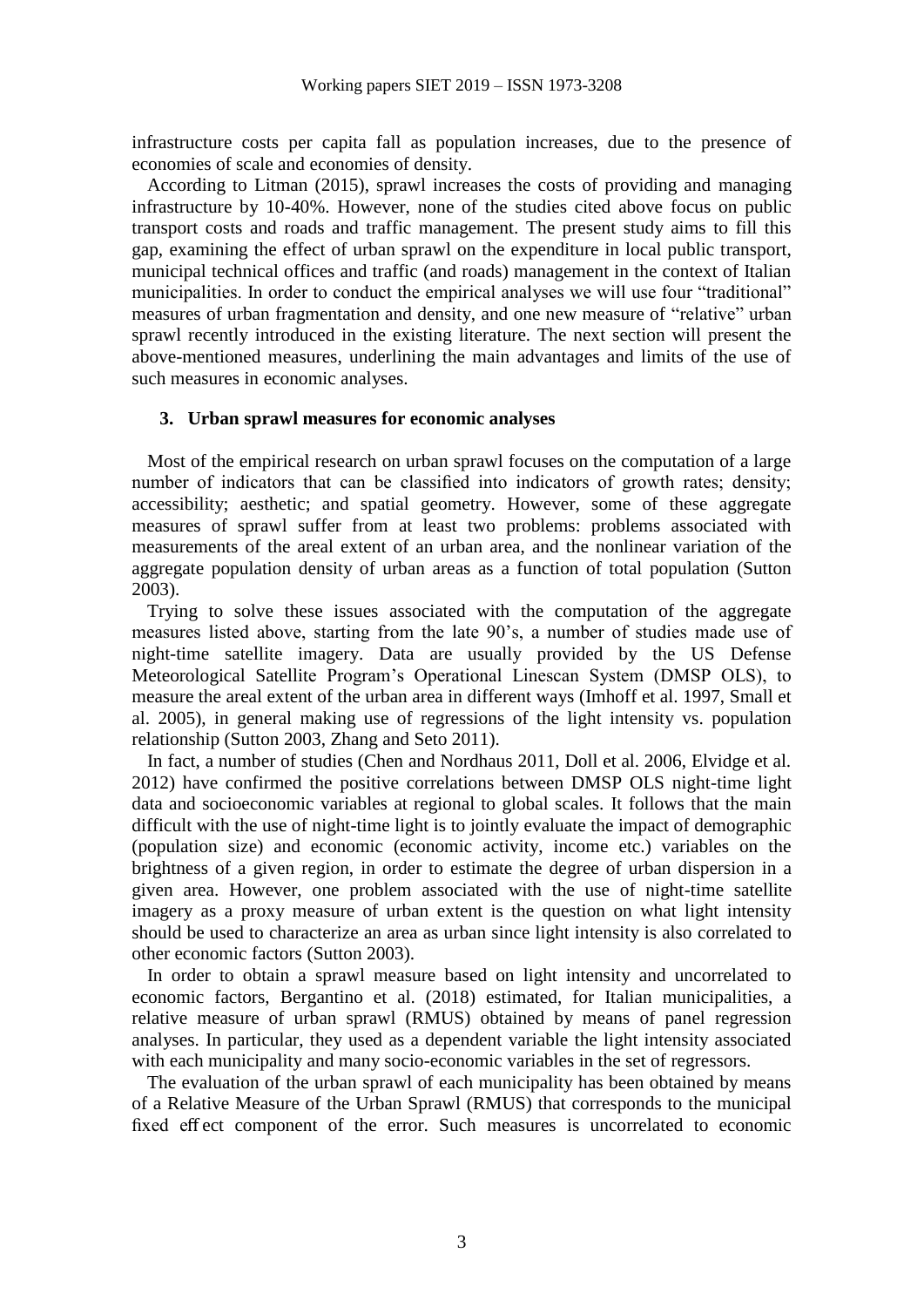infrastructure costs per capita fall as population increases, due to the presence of economies of scale and economies of density.

According to Litman (2015), sprawl increases the costs of providing and managing infrastructure by 10-40%. However, none of the studies cited above focus on public transport costs and roads and traffic management. The present study aims to fill this gap, examining the effect of urban sprawl on the expenditure in local public transport, municipal technical offices and traffic (and roads) management in the context of Italian municipalities. In order to conduct the empirical analyses we will use four "traditional" measures of urban fragmentation and density, and one new measure of "relative" urban sprawl recently introduced in the existing literature. The next section will present the above-mentioned measures, underlining the main advantages and limits of the use of such measures in economic analyses.

### **3. Urban sprawl measures for economic analyses**

Most of the empirical research on urban sprawl focuses on the computation of a large number of indicators that can be classified into indicators of growth rates; density; accessibility; aesthetic; and spatial geometry. However, some of these aggregate measures of sprawl suffer from at least two problems: problems associated with measurements of the areal extent of an urban area, and the nonlinear variation of the aggregate population density of urban areas as a function of total population (Sutton 2003).

Trying to solve these issues associated with the computation of the aggregate measures listed above, starting from the late 90's, a number of studies made use of night-time satellite imagery. Data are usually provided by the US Defense Meteorological Satellite Program's Operational Linescan System (DMSP OLS), to measure the areal extent of the urban area in different ways (Imhoff et al. 1997, Small et al. 2005), in general making use of regressions of the light intensity vs. population relationship (Sutton 2003, Zhang and Seto 2011).

In fact, a number of studies (Chen and Nordhaus 2011, Doll et al. 2006, Elvidge et al. 2012) have confirmed the positive correlations between DMSP OLS night-time light data and socioeconomic variables at regional to global scales. It follows that the main difficult with the use of night-time light is to jointly evaluate the impact of demographic (population size) and economic (economic activity, income etc.) variables on the brightness of a given region, in order to estimate the degree of urban dispersion in a given area. However, one problem associated with the use of night-time satellite imagery as a proxy measure of urban extent is the question on what light intensity should be used to characterize an area as urban since light intensity is also correlated to other economic factors (Sutton 2003).

In order to obtain a sprawl measure based on light intensity and uncorrelated to economic factors, Bergantino et al. (2018) estimated, for Italian municipalities, a relative measure of urban sprawl (RMUS) obtained by means of panel regression analyses. In particular, they used as a dependent variable the light intensity associated with each municipality and many socio-economic variables in the set of regressors.

The evaluation of the urban sprawl of each municipality has been obtained by means of a Relative Measure of the Urban Sprawl (RMUS) that corresponds to the municipal fixed effect component of the error. Such measures is uncorrelated to economic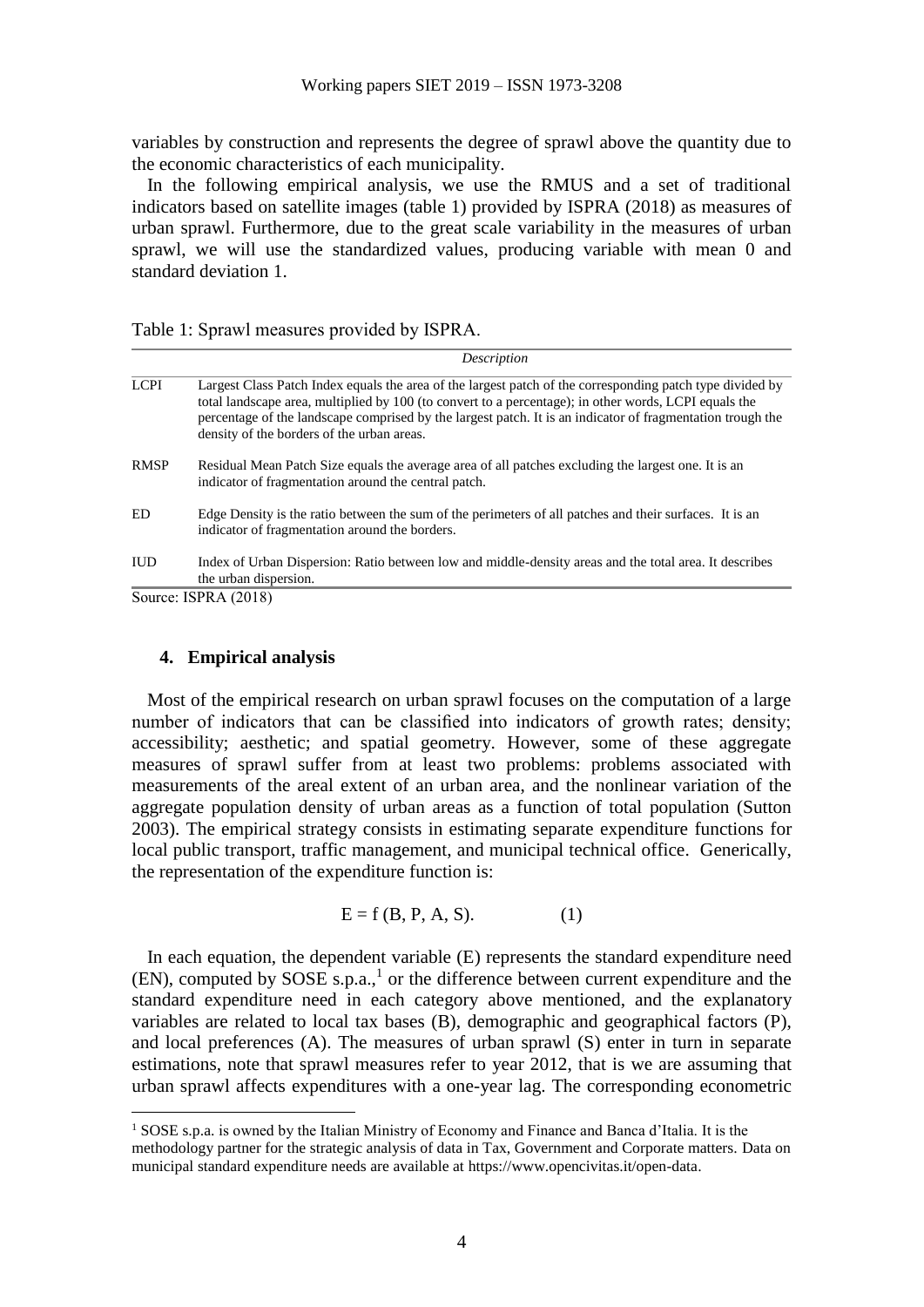variables by construction and represents the degree of sprawl above the quantity due to the economic characteristics of each municipality.

In the following empirical analysis, we use the RMUS and a set of traditional indicators based on satellite images (table 1) provided by ISPRA (2018) as measures of urban sprawl. Furthermore, due to the great scale variability in the measures of urban sprawl, we will use the standardized values, producing variable with mean 0 and standard deviation 1.

|  | Table 1: Sprawl measures provided by ISPRA. |  |
|--|---------------------------------------------|--|
|--|---------------------------------------------|--|

|             | Description                                                                                                                                                                                                                                                                                                                                                                    |
|-------------|--------------------------------------------------------------------------------------------------------------------------------------------------------------------------------------------------------------------------------------------------------------------------------------------------------------------------------------------------------------------------------|
| <b>LCPI</b> | Largest Class Patch Index equals the area of the largest patch of the corresponding patch type divided by<br>total landscape area, multiplied by 100 (to convert to a percentage); in other words, LCPI equals the<br>percentage of the landscape comprised by the largest patch. It is an indicator of fragmentation trough the<br>density of the borders of the urban areas. |
| <b>RMSP</b> | Residual Mean Patch Size equals the average area of all patches excluding the largest one. It is an<br>indicator of fragmentation around the central patch.                                                                                                                                                                                                                    |
| ED          | Edge Density is the ratio between the sum of the perimeters of all patches and their surfaces. It is an<br>indicator of fragmentation around the borders.                                                                                                                                                                                                                      |
| <b>IUD</b>  | Index of Urban Dispersion: Ratio between low and middle-density areas and the total area. It describes<br>the urban dispersion.                                                                                                                                                                                                                                                |

Source: ISPRA (2018)

 $\overline{a}$ 

#### **4. Empirical analysis**

Most of the empirical research on urban sprawl focuses on the computation of a large number of indicators that can be classified into indicators of growth rates; density; accessibility; aesthetic; and spatial geometry. However, some of these aggregate measures of sprawl suffer from at least two problems: problems associated with measurements of the areal extent of an urban area, and the nonlinear variation of the aggregate population density of urban areas as a function of total population (Sutton 2003). The empirical strategy consists in estimating separate expenditure functions for local public transport, traffic management, and municipal technical office. Generically, the representation of the expenditure function is:

$$
E = f(B, P, A, S).
$$
 (1)

In each equation, the dependent variable (E) represents the standard expenditure need  $(EN)$ , computed by SOSE s.p.a.,<sup>1</sup> or the difference between current expenditure and the standard expenditure need in each category above mentioned, and the explanatory variables are related to local tax bases (B), demographic and geographical factors (P), and local preferences (A). The measures of urban sprawl (S) enter in turn in separate estimations, note that sprawl measures refer to year 2012, that is we are assuming that urban sprawl affects expenditures with a one-year lag. The corresponding econometric

<sup>1</sup> SOSE s.p.a. is owned by the Italian Ministry of Economy and Finance and Banca d'Italia. It is the methodology partner for the strategic analysis of data in Tax, Government and Corporate matters. Data on municipal standard expenditure needs are available at https://www.opencivitas.it/open-data.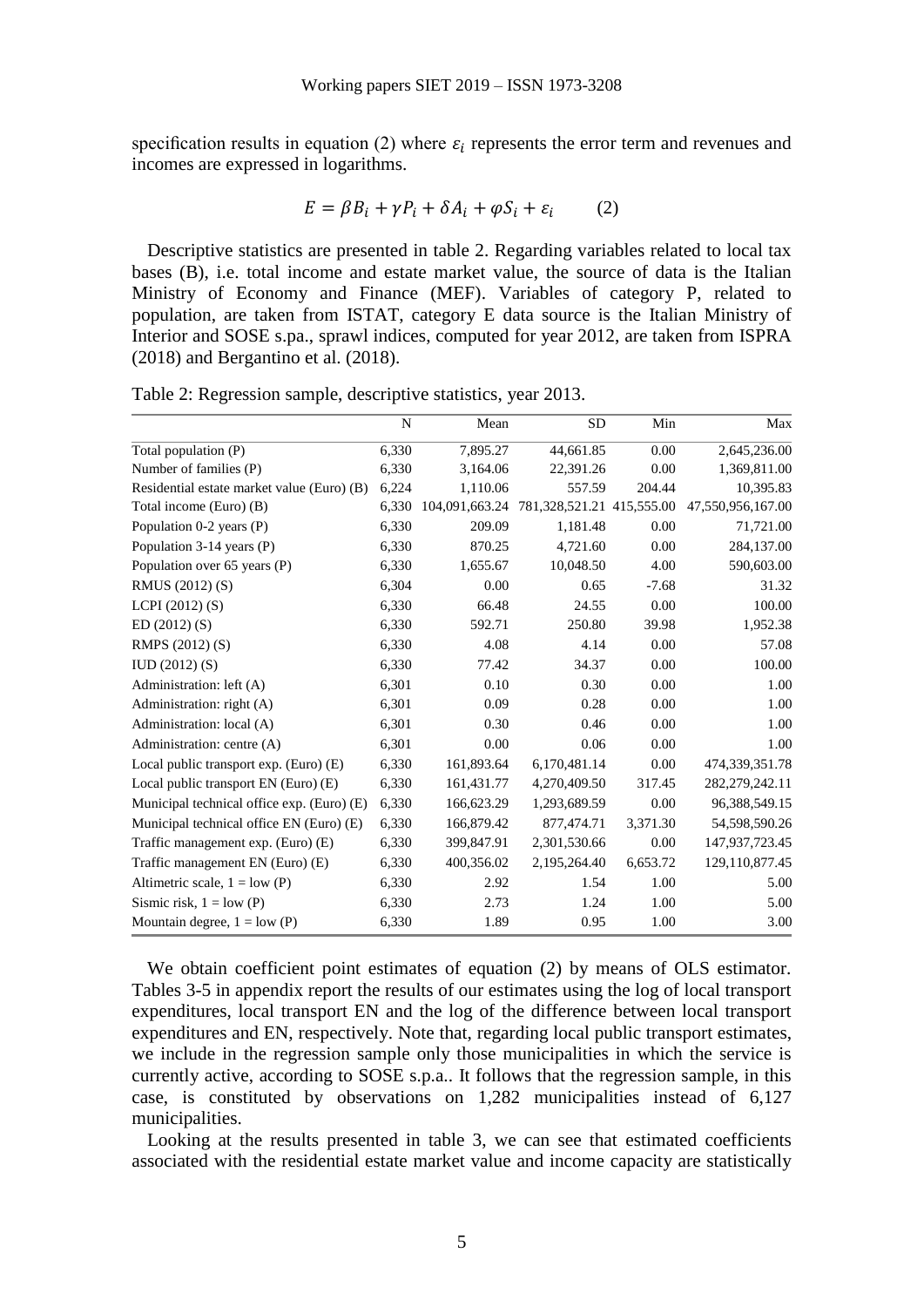specification results in equation (2) where  $\varepsilon_i$  represents the error term and revenues and incomes are expressed in logarithms.

$$
E = \beta B_i + \gamma P_i + \delta A_i + \varphi S_i + \varepsilon_i \tag{2}
$$

Descriptive statistics are presented in table 2. Regarding variables related to local tax bases (B), i.e. total income and estate market value, the source of data is the Italian Ministry of Economy and Finance (MEF). Variables of category P, related to population, are taken from ISTAT, category E data source is the Italian Ministry of Interior and SOSE s.pa., sprawl indices, computed for year 2012, are taken from ISPRA (2018) and Bergantino et al. (2018).

|                                            | N     | Mean           | SD                             | Min      | Max               |
|--------------------------------------------|-------|----------------|--------------------------------|----------|-------------------|
| Total population (P)                       | 6,330 | 7,895.27       | 44,661.85                      | 0.00     | 2,645,236.00      |
| Number of families (P)                     | 6,330 | 3,164.06       | 22,391.26                      | 0.00     | 1,369,811.00      |
| Residential estate market value (Euro) (B) | 6,224 | 1,110.06       | 557.59                         | 204.44   | 10,395.83         |
| Total income (Euro) (B)                    | 6.330 | 104,091,663.24 | 781, 328, 521. 21 415, 555. 00 |          | 47,550,956,167.00 |
| Population 0-2 years (P)                   | 6,330 | 209.09         | 1,181.48                       | 0.00     | 71,721.00         |
| Population 3-14 years (P)                  | 6,330 | 870.25         | 4,721.60                       | 0.00     | 284,137.00        |
| Population over 65 years (P)               | 6,330 | 1,655.67       | 10,048.50                      | 4.00     | 590,603.00        |
| RMUS (2012) (S)                            | 6,304 | 0.00           | 0.65                           | $-7.68$  | 31.32             |
| LCPI $(2012)$ $(S)$                        | 6.330 | 66.48          | 24.55                          | 0.00     | 100.00            |
| ED(2012)(S)                                | 6,330 | 592.71         | 250.80                         | 39.98    | 1,952.38          |
| RMPS (2012) (S)                            | 6,330 | 4.08           | 4.14                           | 0.00     | 57.08             |
| IUD(2012)(S)                               | 6,330 | 77.42          | 34.37                          | 0.00     | 100.00            |
| Administration: left (A)                   | 6,301 | 0.10           | 0.30                           | 0.00     | 1.00              |
| Administration: right (A)                  | 6,301 | 0.09           | 0.28                           | 0.00     | 1.00              |
| Administration: local (A)                  | 6,301 | 0.30           | 0.46                           | 0.00     | 1.00              |
| Administration: centre (A)                 | 6,301 | 0.00           | 0.06                           | 0.00     | 1.00              |
| Local public transport exp. (Euro) (E)     | 6,330 | 161,893.64     | 6,170,481.14                   | 0.00     | 474,339,351.78    |
| Local public transport EN (Euro) (E)       | 6,330 | 161,431.77     | 4,270,409.50                   | 317.45   | 282, 279, 242. 11 |
| Municipal technical office exp. (Euro) (E) | 6,330 | 166,623.29     | 1,293,689.59                   | 0.00     | 96,388,549.15     |
| Municipal technical office EN (Euro) (E)   | 6,330 | 166,879.42     | 877,474.71                     | 3,371.30 | 54,598,590.26     |
| Traffic management exp. (Euro) (E)         | 6,330 | 399,847.91     | 2,301,530.66                   | 0.00     | 147,937,723.45    |
| Traffic management EN (Euro) (E)           | 6,330 | 400,356.02     | 2,195,264.40                   | 6,653.72 | 129, 110, 877. 45 |
| Altimetric scale, $1 =$ low (P)            | 6,330 | 2.92           | 1.54                           | 1.00     | 5.00              |
| Sismic risk, $1 =$ low (P)                 | 6,330 | 2.73           | 1.24                           | 1.00     | 5.00              |
| Mountain degree, $1 =$ low (P)             | 6,330 | 1.89           | 0.95                           | 1.00     | 3.00              |

Table 2: Regression sample, descriptive statistics, year 2013.

We obtain coefficient point estimates of equation (2) by means of OLS estimator. Tables 3-5 in appendix report the results of our estimates using the log of local transport expenditures, local transport EN and the log of the difference between local transport expenditures and EN, respectively. Note that, regarding local public transport estimates, we include in the regression sample only those municipalities in which the service is currently active, according to SOSE s.p.a.. It follows that the regression sample, in this case, is constituted by observations on 1,282 municipalities instead of 6,127 municipalities.

Looking at the results presented in table 3, we can see that estimated coefficients associated with the residential estate market value and income capacity are statistically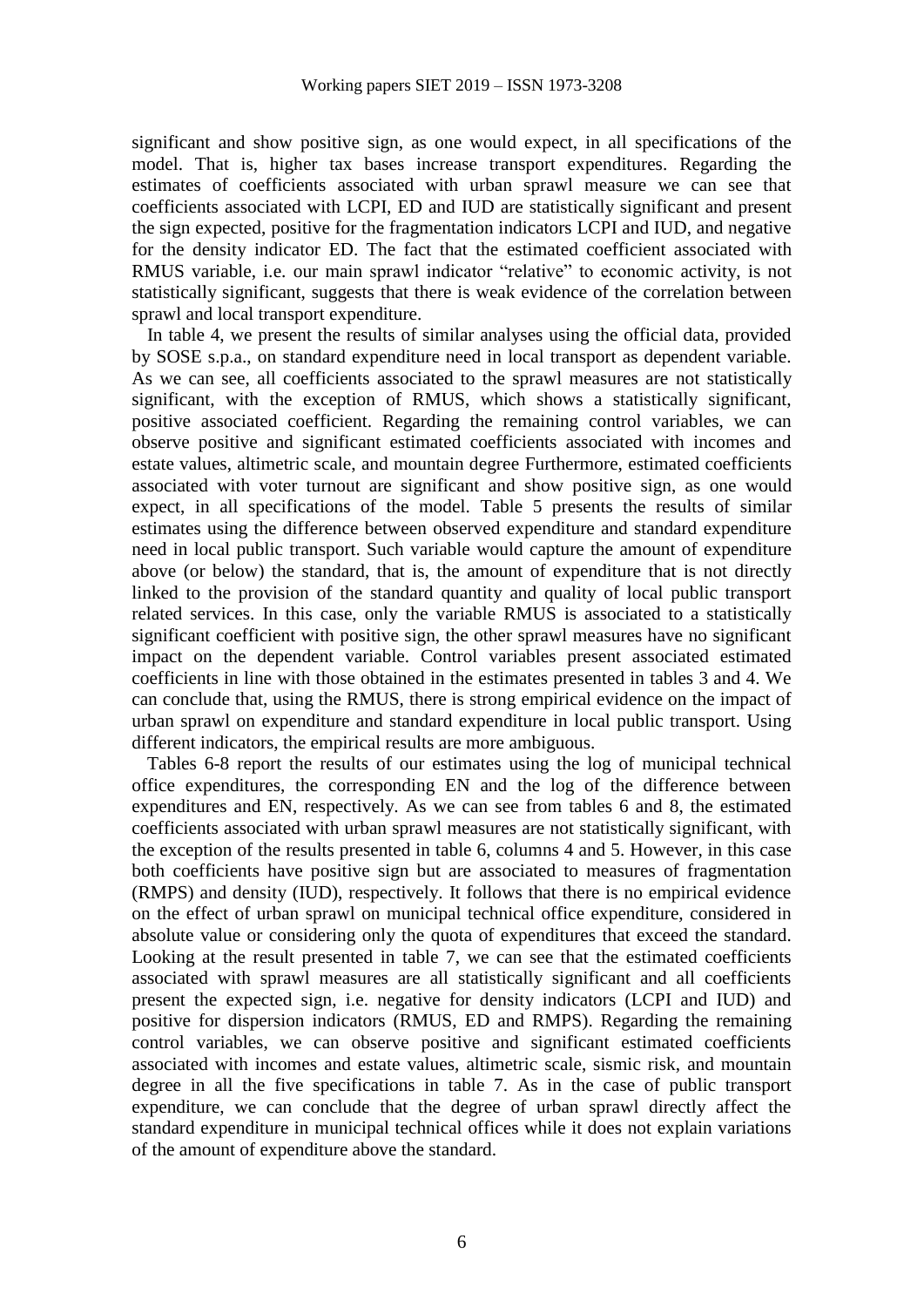significant and show positive sign, as one would expect, in all specifications of the model. That is, higher tax bases increase transport expenditures. Regarding the estimates of coefficients associated with urban sprawl measure we can see that coefficients associated with LCPI, ED and IUD are statistically significant and present the sign expected, positive for the fragmentation indicators LCPI and IUD, and negative for the density indicator ED. The fact that the estimated coefficient associated with RMUS variable, i.e. our main sprawl indicator "relative" to economic activity, is not statistically significant, suggests that there is weak evidence of the correlation between sprawl and local transport expenditure.

In table 4, we present the results of similar analyses using the official data, provided by SOSE s.p.a., on standard expenditure need in local transport as dependent variable. As we can see, all coefficients associated to the sprawl measures are not statistically significant, with the exception of RMUS, which shows a statistically significant, positive associated coefficient. Regarding the remaining control variables, we can observe positive and significant estimated coefficients associated with incomes and estate values, altimetric scale, and mountain degree Furthermore, estimated coefficients associated with voter turnout are significant and show positive sign, as one would expect, in all specifications of the model. Table 5 presents the results of similar estimates using the difference between observed expenditure and standard expenditure need in local public transport. Such variable would capture the amount of expenditure above (or below) the standard, that is, the amount of expenditure that is not directly linked to the provision of the standard quantity and quality of local public transport related services. In this case, only the variable RMUS is associated to a statistically significant coefficient with positive sign, the other sprawl measures have no significant impact on the dependent variable. Control variables present associated estimated coefficients in line with those obtained in the estimates presented in tables 3 and 4. We can conclude that, using the RMUS, there is strong empirical evidence on the impact of urban sprawl on expenditure and standard expenditure in local public transport. Using different indicators, the empirical results are more ambiguous.

Tables 6-8 report the results of our estimates using the log of municipal technical office expenditures, the corresponding EN and the log of the difference between expenditures and EN, respectively. As we can see from tables 6 and 8, the estimated coefficients associated with urban sprawl measures are not statistically significant, with the exception of the results presented in table 6, columns 4 and 5. However, in this case both coefficients have positive sign but are associated to measures of fragmentation (RMPS) and density (IUD), respectively. It follows that there is no empirical evidence on the effect of urban sprawl on municipal technical office expenditure, considered in absolute value or considering only the quota of expenditures that exceed the standard. Looking at the result presented in table 7, we can see that the estimated coefficients associated with sprawl measures are all statistically significant and all coefficients present the expected sign, i.e. negative for density indicators (LCPI and IUD) and positive for dispersion indicators (RMUS, ED and RMPS). Regarding the remaining control variables, we can observe positive and significant estimated coefficients associated with incomes and estate values, altimetric scale, sismic risk, and mountain degree in all the five specifications in table 7. As in the case of public transport expenditure, we can conclude that the degree of urban sprawl directly affect the standard expenditure in municipal technical offices while it does not explain variations of the amount of expenditure above the standard.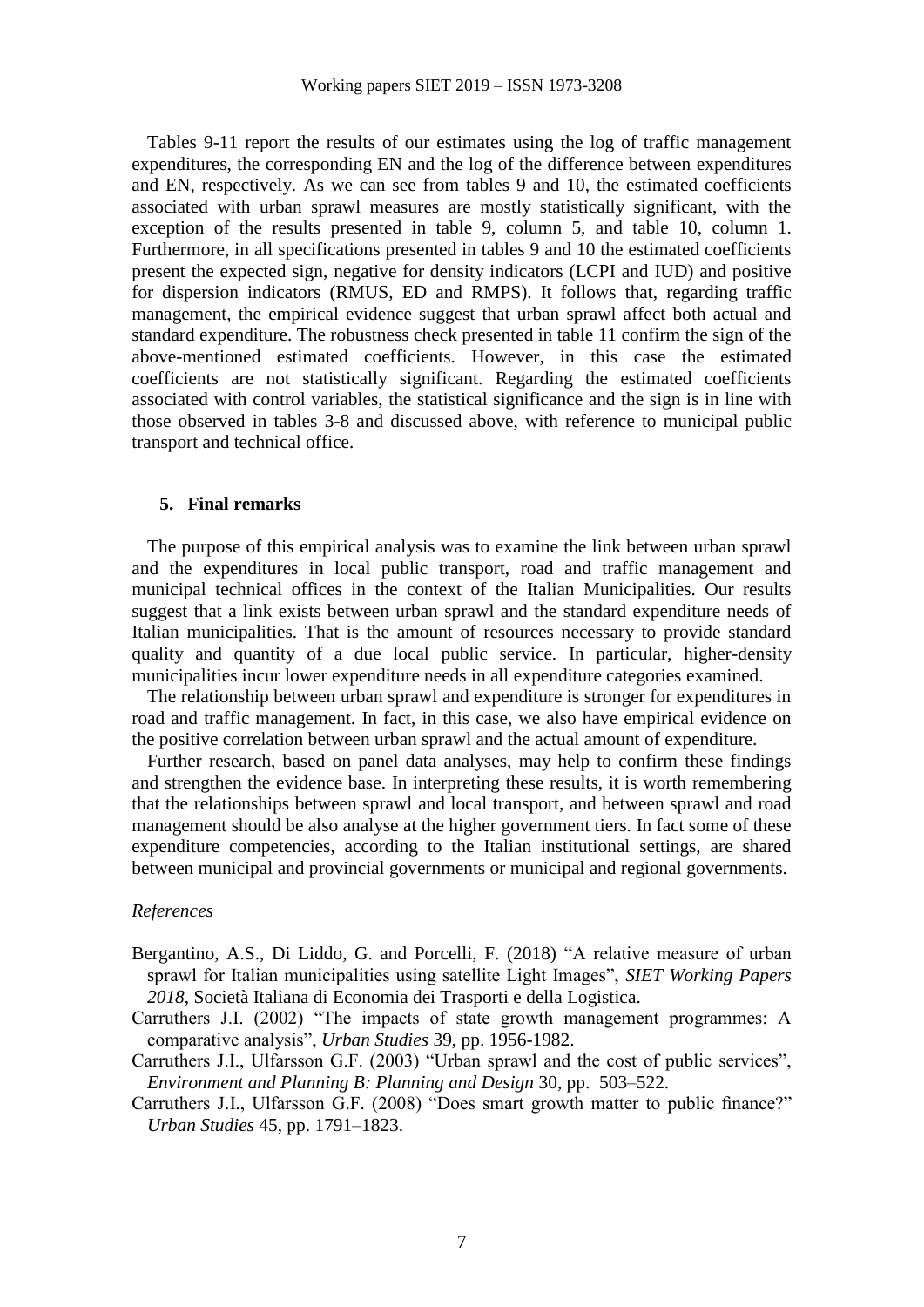Tables 9-11 report the results of our estimates using the log of traffic management expenditures, the corresponding EN and the log of the difference between expenditures and EN, respectively. As we can see from tables 9 and 10, the estimated coefficients associated with urban sprawl measures are mostly statistically significant, with the exception of the results presented in table 9, column 5, and table 10, column 1. Furthermore, in all specifications presented in tables 9 and 10 the estimated coefficients present the expected sign, negative for density indicators (LCPI and IUD) and positive for dispersion indicators (RMUS, ED and RMPS). It follows that, regarding traffic management, the empirical evidence suggest that urban sprawl affect both actual and standard expenditure. The robustness check presented in table 11 confirm the sign of the above-mentioned estimated coefficients. However, in this case the estimated coefficients are not statistically significant. Regarding the estimated coefficients associated with control variables, the statistical significance and the sign is in line with those observed in tables 3-8 and discussed above, with reference to municipal public transport and technical office.

#### **5. Final remarks**

The purpose of this empirical analysis was to examine the link between urban sprawl and the expenditures in local public transport, road and traffic management and municipal technical offices in the context of the Italian Municipalities. Our results suggest that a link exists between urban sprawl and the standard expenditure needs of Italian municipalities. That is the amount of resources necessary to provide standard quality and quantity of a due local public service. In particular, higher-density municipalities incur lower expenditure needs in all expenditure categories examined.

The relationship between urban sprawl and expenditure is stronger for expenditures in road and traffic management. In fact, in this case, we also have empirical evidence on the positive correlation between urban sprawl and the actual amount of expenditure.

Further research, based on panel data analyses, may help to confirm these findings and strengthen the evidence base. In interpreting these results, it is worth remembering that the relationships between sprawl and local transport, and between sprawl and road management should be also analyse at the higher government tiers. In fact some of these expenditure competencies, according to the Italian institutional settings, are shared between municipal and provincial governments or municipal and regional governments.

#### *References*

- Bergantino, A.S., Di Liddo, G. and Porcelli, F. (2018) "A relative measure of urban sprawl for Italian municipalities using satellite Light Images", *SIET Working Papers 2018*, Società Italiana di Economia dei Trasporti e della Logistica.
- Carruthers J.I. (2002) "The impacts of state growth management programmes: A comparative analysis", *Urban Studies* 39, pp. 1956-1982.
- Carruthers J.I., Ulfarsson G.F. (2003) "Urban sprawl and the cost of public services", *Environment and Planning B: Planning and Design* 30, pp. 503–522.
- Carruthers J.I., Ulfarsson G.F. (2008) "Does smart growth matter to public finance?" *Urban Studies* 45, pp. 1791–1823.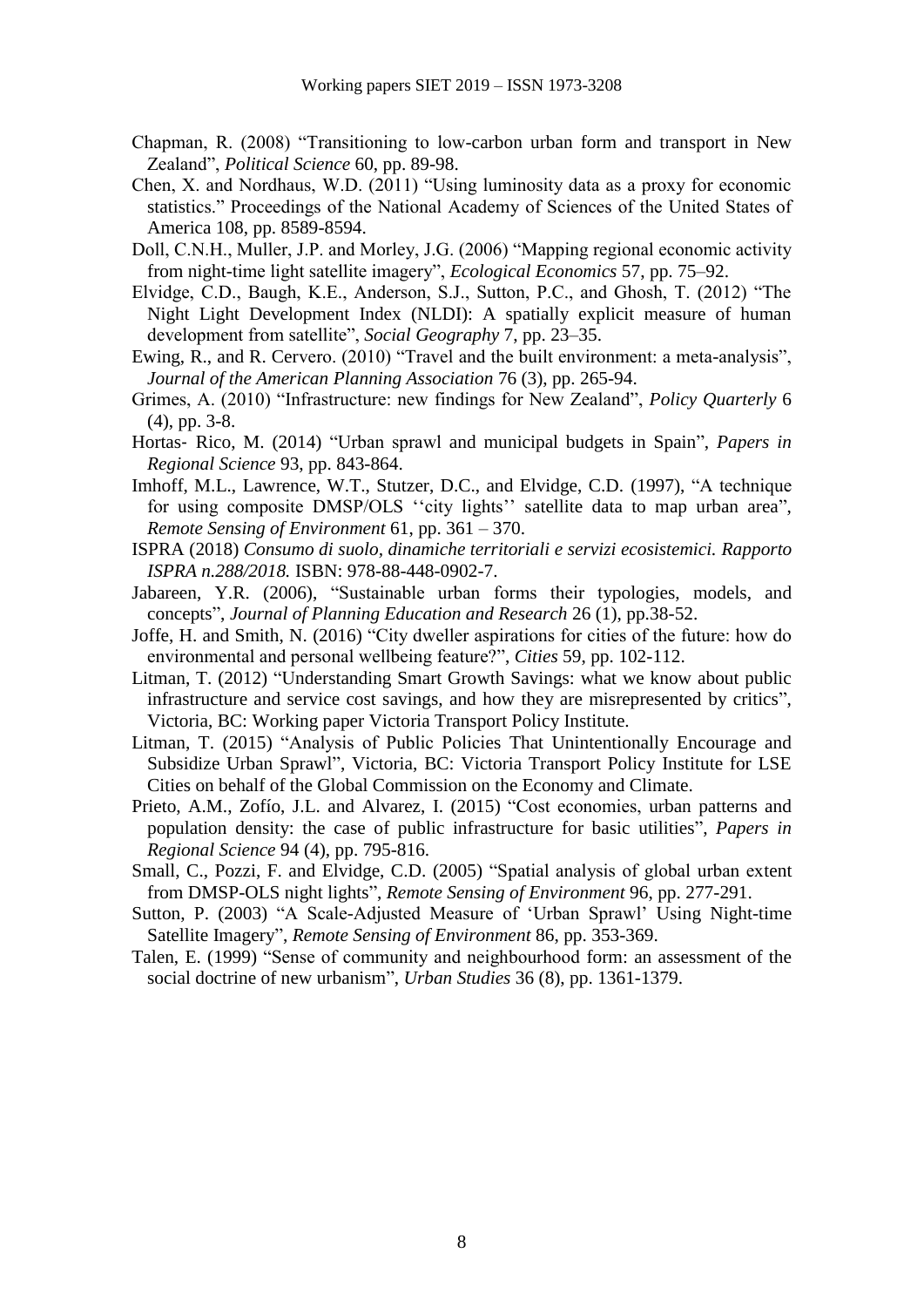- Chapman, R. (2008) "Transitioning to low-carbon urban form and transport in New Zealand", *Political Science* 60, pp. 89-98.
- Chen, X. and Nordhaus, W.D. (2011) "Using luminosity data as a proxy for economic statistics." Proceedings of the National Academy of Sciences of the United States of America 108, pp. 8589-8594.
- Doll, C.N.H., Muller, J.P. and Morley, J.G. (2006) "Mapping regional economic activity from night-time light satellite imagery", *Ecological Economics* 57, pp. 75–92.
- Elvidge, C.D., Baugh, K.E., Anderson, S.J., Sutton, P.C., and Ghosh, T. (2012) "The Night Light Development Index (NLDI): A spatially explicit measure of human development from satellite", *Social Geography* 7, pp. 23–35.
- Ewing, R., and R. Cervero. (2010) "Travel and the built environment: a meta-analysis", *Journal of the American Planning Association* 76 (3), pp. 265-94.
- Grimes, A. (2010) "Infrastructure: new findings for New Zealand", *Policy Quarterly* 6 (4), pp. 3-8.
- Hortas‐ Rico, M. (2014) "Urban sprawl and municipal budgets in Spain", *Papers in Regional Science* 93, pp. 843-864.
- Imhoff, M.L., Lawrence, W.T., Stutzer, D.C., and Elvidge, C.D. (1997), "A technique for using composite DMSP/OLS ''city lights'' satellite data to map urban area", *Remote Sensing of Environment* 61, pp. 361 – 370.
- ISPRA (2018) *Consumo di suolo, dinamiche territoriali e servizi ecosistemici. Rapporto ISPRA n.288/2018.* ISBN: 978-88-448-0902-7.
- Jabareen, Y.R. (2006), "Sustainable urban forms their typologies, models, and concepts", *Journal of Planning Education and Research* 26 (1), pp.38-52.
- Joffe, H. and Smith, N. (2016) "City dweller aspirations for cities of the future: how do environmental and personal wellbeing feature?", *Cities* 59, pp. 102-112.
- Litman, T. (2012) "Understanding Smart Growth Savings: what we know about public infrastructure and service cost savings, and how they are misrepresented by critics", Victoria, BC: Working paper Victoria Transport Policy Institute.
- Litman, T. (2015) "Analysis of Public Policies That Unintentionally Encourage and Subsidize Urban Sprawl", Victoria, BC: Victoria Transport Policy Institute for LSE Cities on behalf of the Global Commission on the Economy and Climate.
- Prieto, A.M., Zofío, J.L. and Alvarez, I. (2015) "Cost economies, urban patterns and population density: the case of public infrastructure for basic utilities", *Papers in Regional Science* 94 (4), pp. 795-816.
- Small, C., Pozzi, F. and Elvidge, C.D. (2005) "Spatial analysis of global urban extent from DMSP-OLS night lights", *Remote Sensing of Environment* 96, pp. 277-291.
- Sutton, P. (2003) "A Scale-Adjusted Measure of 'Urban Sprawl' Using Night-time Satellite Imagery", *Remote Sensing of Environment* 86, pp. 353-369.
- Talen, E. (1999) "Sense of community and neighbourhood form: an assessment of the social doctrine of new urbanism", *Urban Studies* 36 (8), pp. 1361-1379.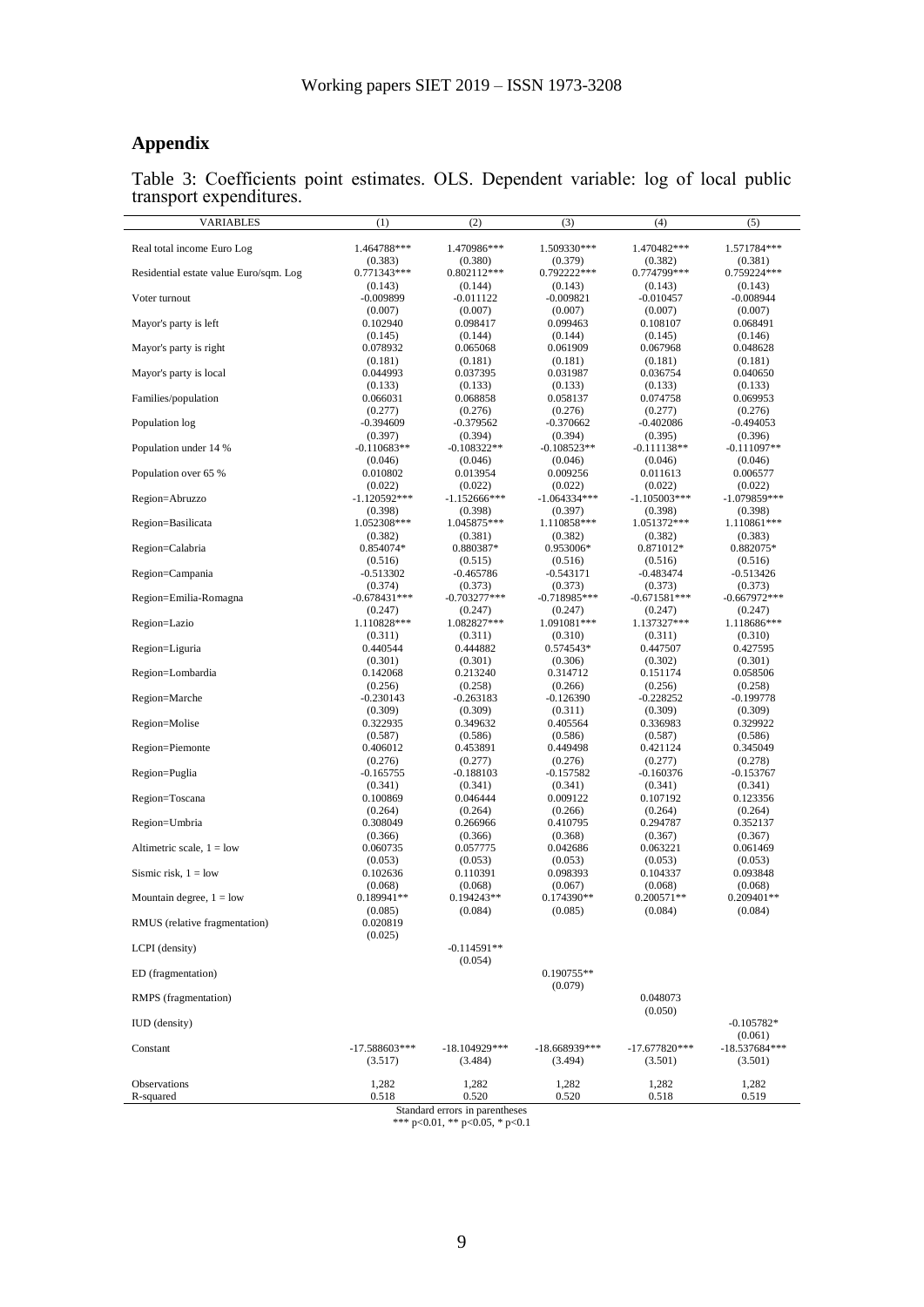# **Appendix**

Table 3: Coefficients point estimates. OLS. Dependent variable: log of local public transport expenditures.

| <b>VARIABLES</b>                       | (1)                        | (2)                        | (3)                       | (4)                        | (5)                        |
|----------------------------------------|----------------------------|----------------------------|---------------------------|----------------------------|----------------------------|
| Real total income Euro Log             | 1.464788***                | 1.470986***                | 1.509330***               | 1.470482***                | 1.571784***                |
|                                        | (0.383)                    | (0.380)                    | (0.379)                   | (0.382)                    | (0.381)                    |
| Residential estate value Euro/sqm. Log | 0.771343***<br>(0.143)     | $0.802112***$<br>(0.144)   | 0.792222***<br>(0.143)    | 0.774799***<br>(0.143)     | 0.759224***<br>(0.143)     |
| Voter turnout                          | $-0.009899$                | $-0.011122$                | $-0.009821$               | $-0.010457$                | $-0.008944$                |
|                                        | (0.007)                    | (0.007)                    | (0.007)                   | (0.007)                    | (0.007)                    |
| Mayor's party is left                  | 0.102940<br>(0.145)        | 0.098417<br>(0.144)        | 0.099463<br>(0.144)       | 0.108107<br>(0.145)        | 0.068491<br>(0.146)        |
| Mayor's party is right                 | 0.078932                   | 0.065068                   | 0.061909                  | 0.067968                   | 0.048628                   |
|                                        | (0.181)                    | (0.181)                    | (0.181)                   | (0.181)                    | (0.181)                    |
| Mayor's party is local                 | 0.044993<br>(0.133)        | 0.037395<br>(0.133)        | 0.031987<br>(0.133)       | 0.036754<br>(0.133)        | 0.040650<br>(0.133)        |
| Families/population                    | 0.066031                   | 0.068858                   | 0.058137                  | 0.074758                   | 0.069953                   |
|                                        | (0.277)                    | (0.276)                    | (0.276)                   | (0.277)                    | (0.276)                    |
| Population log                         | $-0.394609$<br>(0.397)     | $-0.379562$<br>(0.394)     | $-0.370662$<br>(0.394)    | $-0.402086$<br>(0.395)     | -0.494053<br>(0.396)       |
| Population under 14 %                  | $-0.110683**$              | $-0.108322**$              | $-0.108523**$             | -0.111138**                | -0.111097**                |
|                                        | (0.046)                    | (0.046)                    | (0.046)                   | (0.046)                    | (0.046)                    |
| Population over 65 %                   | 0.010802<br>(0.022)        | 0.013954<br>(0.022)        | 0.009256<br>(0.022)       | 0.011613<br>(0.022)        | 0.006577<br>(0.022)        |
| Region=Abruzzo                         | $-1.120592***$             | $-1.152666$ ***            | $-1.064334***$            | -1.105003***               | $-1.079859***$             |
|                                        | (0.398)                    | (0.398)                    | (0.397)                   | (0.398)                    | (0.398)                    |
| Region=Basilicata                      | 1.052308***<br>(0.382)     | 1.045875***                | 1.110858***               | 1.051372***                | 1.110861***                |
| Region=Calabria                        | 0.854074*                  | (0.381)<br>0.880387*       | (0.382)<br>0.953006*      | (0.382)<br>0.871012*       | (0.383)<br>0.882075*       |
|                                        | (0.516)                    | (0.515)                    | (0.516)                   | (0.516)                    | (0.516)                    |
| Region=Campania                        | $-0.513302$                | $-0.465786$                | $-0.543171$               | $-0.483474$                | -0.513426                  |
| Region=Emilia-Romagna                  | (0.374)<br>$-0.678431***$  | (0.373)<br>$-0.703277***$  | (0.373)<br>$-0.718985***$ | (0.373)<br>-0.671581***    | (0.373)<br>$-0.667972***$  |
|                                        | (0.247)                    | (0.247)                    | (0.247)                   | (0.247)                    | (0.247)                    |
| Region=Lazio                           | 1.110828***                | 1.082827***                | 1.091081***               | 1.137327***                | 1.118686***                |
| Region=Liguria                         | (0.311)<br>0.440544        | (0.311)<br>0.444882        | (0.310)<br>0.574543*      | (0.311)<br>0.447507        | (0.310)<br>0.427595        |
|                                        | (0.301)                    | (0.301)                    | (0.306)                   | (0.302)                    | (0.301)                    |
| Region=Lombardia                       | 0.142068                   | 0.213240                   | 0.314712                  | 0.151174                   | 0.058506                   |
| Region=Marche                          | (0.256)<br>-0.230143       | (0.258)<br>$-0.263183$     | (0.266)<br>-0.126390      | (0.256)<br>-0.228252       | (0.258)<br>-0.199778       |
|                                        | (0.309)                    | (0.309)                    | (0.311)                   | (0.309)                    | (0.309)                    |
| Region=Molise                          | 0.322935                   | 0.349632                   | 0.405564                  | 0.336983                   | 0.329922                   |
| Region=Piemonte                        | (0.587)<br>0.406012        | (0.586)<br>0.453891        | (0.586)<br>0.449498       | (0.587)<br>0.421124        | (0.586)<br>0.345049        |
|                                        | (0.276)                    | (0.277)                    | (0.276)                   | (0.277)                    | (0.278)                    |
| Region=Puglia                          | $-0.165755$                | $-0.188103$                | $-0.157582$               | $-0.160376$                | $-0.153767$                |
| Region=Toscana                         | (0.341)<br>0.100869        | (0.341)<br>0.046444        | (0.341)<br>0.009122       | (0.341)<br>0.107192        | (0.341)<br>0.123356        |
|                                        | (0.264)                    | (0.264)                    | (0.266)                   | (0.264)                    | (0.264)                    |
| Region=Umbria                          | 0.308049                   | 0.266966                   | 0.410795                  | 0.294787                   | 0.352137                   |
| Altimetric scale, $1 =$ low            | (0.366)<br>0.060735        | (0.366)<br>0.057775        | (0.368)<br>0.042686       | (0.367)<br>0.063221        | (0.367)<br>0.061469        |
|                                        | (0.053)                    | (0.053)                    | (0.053)                   | (0.053)                    | (0.053)                    |
| Sismic risk, $1 =$ low                 | 0.102636                   | 0.110391                   | 0.098393                  | 0.104337                   | 0.093848                   |
| Mountain degree, $1 =$ low             | (0.068)<br>0.189941**      | (0.068)<br>0.194243**      | (0.067)<br>0.174390**     | (0.068)<br>0.200571**      | (0.068)<br>$0.209401**$    |
|                                        | (0.085)                    | (0.084)                    | (0.085)                   | (0.084)                    | (0.084)                    |
| RMUS (relative fragmentation)          | 0.020819                   |                            |                           |                            |                            |
| LCPI (density)                         | (0.025)                    | $-0.114591**$              |                           |                            |                            |
|                                        |                            | (0.054)                    |                           |                            |                            |
| ED (fragmentation)                     |                            |                            | 0.190755**                |                            |                            |
|                                        |                            |                            | (0.079)                   |                            |                            |
| RMPS (fragmentation)                   |                            |                            |                           | 0.048073<br>(0.050)        |                            |
| <b>IUD</b> (density)                   |                            |                            |                           |                            | $-0.105782*$               |
|                                        |                            |                            |                           |                            | (0.061)                    |
| Constant                               | $-17.588603***$<br>(3.517) | $-18.104929***$<br>(3.484) | -18.668939***<br>(3.494)  | $-17.677820***$<br>(3.501) | $-18.537684***$<br>(3.501) |
|                                        |                            |                            |                           |                            |                            |
| Observations<br>R-squared              | 1,282                      | 1,282                      | 1,282                     | 1,282                      | 1,282                      |
|                                        | 0.518                      | 0.520                      | 0.520                     | 0.518                      | 0.519                      |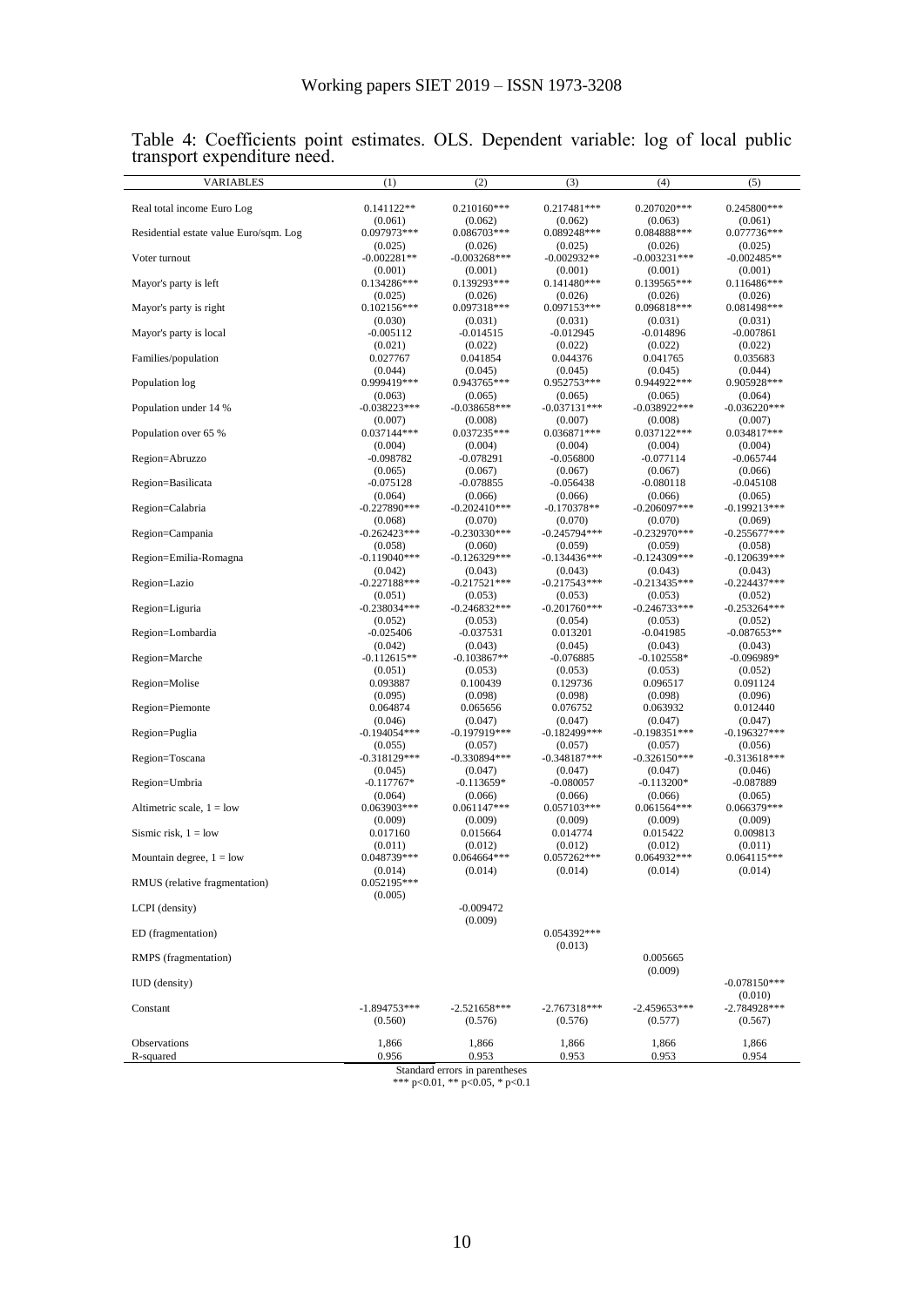| VARIABLES                              | (1)                        | (2)                       | (3)                       | (4)                       | (5)                       |
|----------------------------------------|----------------------------|---------------------------|---------------------------|---------------------------|---------------------------|
| Real total income Euro Log             | $0.141122**$               | $0.210160***$             | 0.217481***               | 0.207020***               | 0.245800***               |
| Residential estate value Euro/sqm. Log | (0.061)<br>0.097973***     | (0.062)<br>0.086703***    | (0.062)<br>0.089248***    | (0.063)<br>0.084888***    | (0.061)<br>0.077736***    |
|                                        | (0.025)                    | (0.026)                   | (0.025)                   | (0.026)                   | (0.025)                   |
| Voter turnout                          | $-0.002281**$<br>(0.001)   | $-0.003268***$<br>(0.001) | $-0.002932**$<br>(0.001)  | $-0.003231***$<br>(0.001) | $-0.002485**$<br>(0.001)  |
| Mayor's party is left                  | $0.134286***$              | 0.139293***               | $0.141480***$             | 0.139565***               | $0.116486***$             |
| Mayor's party is right                 | (0.025)<br>$0.102156***$   | (0.026)<br>0.097318***    | (0.026)<br>0.097153***    | (0.026)<br>0.096818***    | (0.026)<br>0.081498***    |
|                                        | (0.030)                    | (0.031)                   | (0.031)                   | (0.031)                   | (0.031)                   |
| Mayor's party is local                 | $-0.005112$<br>(0.021)     | $-0.014515$<br>(0.022)    | $-0.012945$<br>(0.022)    | $-0.014896$<br>(0.022)    | $-0.007861$<br>(0.022)    |
| Families/population                    | 0.027767                   | 0.041854                  | 0.044376                  | 0.041765                  | 0.035683                  |
| Population log                         | (0.044)<br>0.999419***     | (0.045)<br>0.943765***    | (0.045)<br>0.952753***    | (0.045)<br>0.944922***    | (0.044)<br>0.905928***    |
|                                        | (0.063)                    | (0.065)                   | (0.065)                   | (0.065)                   | (0.064)                   |
| Population under 14 %                  | $-0.038223***$<br>(0.007)  | $-0.038658***$<br>(0.008) | $-0.037131***$<br>(0.007) | $-0.038922***$<br>(0.008) | $-0.036220***$<br>(0.007) |
| Population over 65 %                   | $0.037144***$              | 0.037235***               | 0.036871***               | $0.037122***$             | 0.034817***               |
| Region=Abruzzo                         | (0.004)<br>$-0.098782$     | (0.004)<br>$-0.078291$    | (0.004)<br>$-0.056800$    | (0.004)<br>$-0.077114$    | (0.004)<br>$-0.065744$    |
|                                        | (0.065)                    | (0.067)                   | (0.067)                   | (0.067)                   | (0.066)                   |
| Region=Basilicata                      | $-0.075128$<br>(0.064)     | $-0.078855$<br>(0.066)    | $-0.056438$<br>(0.066)    | $-0.080118$<br>(0.066)    | $-0.045108$<br>(0.065)    |
| Region=Calabria                        | $-0.227890***$             | $-0.202410***$            | $-0.170378**$             | $-0.206097***$            | -0.199213***              |
| Region=Campania                        | (0.068)<br>$-0.262423***$  | (0.070)<br>$-0.230330***$ | (0.070)<br>$-0.245794***$ | (0.070)<br>$-0.232970***$ | (0.069)<br>$-0.255677***$ |
|                                        | (0.058)                    | (0.060)                   | (0.059)                   | (0.059)                   | (0.058)                   |
| Region=Emilia-Romagna                  | $-0.119040$ ***<br>(0.042) | $-0.126329***$<br>(0.043) | $-0.134436***$<br>(0.043) | $-0.124309***$<br>(0.043) | $-0.120639***$<br>(0.043) |
| Region=Lazio                           | $-0.227188$ ***            | $-0.217521***$            | $-0.217543***$            | $-0.213435***$            | $-0.224437***$            |
| Region=Liguria                         | (0.051)<br>$-0.238034***$  | (0.053)<br>$-0.246832***$ | (0.053)<br>$-0.201760***$ | (0.053)<br>$-0.246733***$ | (0.052)<br>$-0.253264***$ |
|                                        | (0.052)                    | (0.053)                   | (0.054)                   | (0.053)                   | (0.052)                   |
| Region=Lombardia                       | $-0.025406$<br>(0.042)     | -0.037531<br>(0.043)      | 0.013201<br>(0.045)       | $-0.041985$<br>(0.043)    | $-0.087653**$<br>(0.043)  |
| Region=Marche                          | $-0.112615**$              | $-0.103867**$             | -0.076885                 | $-0.102558*$              | $-0.096989*$              |
| Region=Molise                          | (0.051)<br>0.093887        | (0.053)<br>0.100439       | (0.053)<br>0.129736       | (0.053)<br>0.096517       | (0.052)<br>0.091124       |
|                                        | (0.095)                    | (0.098)                   | (0.098)                   | (0.098)                   | (0.096)                   |
| Region=Piemonte                        | 0.064874<br>(0.046)        | 0.065656<br>(0.047)       | 0.076752<br>(0.047)       | 0.063932<br>(0.047)       | 0.012440<br>(0.047)       |
| Region=Puglia                          | $-0.194054***$             | -0.197919***              | $-0.182499***$            | $-0.198351***$            | $-0.196327***$            |
| Region=Toscana                         | (0.055)<br>$-0.318129***$  | (0.057)<br>$-0.330894***$ | (0.057)<br>$-0.348187***$ | (0.057)<br>$-0.326150***$ | (0.056)<br>$-0.313618***$ |
|                                        | (0.045)                    | (0.047)                   | (0.047)                   | (0.047)                   | (0.046)                   |
| Region=Umbria                          | $-0.117767*$<br>(0.064)    | -0.113659*<br>(0.066)     | -0.080057<br>(0.066)      | $-0.113200*$<br>(0.066)   | $-0.087889$<br>(0.065)    |
| Altimetric scale, $1 =$ low            | 0.063903***                | $0.061147***$             | $0.057103***$             | $0.061564***$             | 0.066379***               |
| Sismic risk, $1 =$ low                 | (0.009)<br>0.017160        | (0.009)<br>0.015664       | (0.009)<br>0.014774       | (0.009)<br>0.015422       | (0.009)<br>0.009813       |
|                                        | (0.011)<br>0.048739***     | (0.012)                   | (0.012)                   | (0.012)<br>0.064932***    | (0.011)<br>$0.064115***$  |
| Mountain degree, $1 =$ low             | (0.014)                    | 0.064664***<br>(0.014)    | 0.057262***<br>(0.014)    | (0.014)                   | (0.014)                   |
| RMUS (relative fragmentation)          | 0.052195***<br>(0.005)     |                           |                           |                           |                           |
| LCPI (density)                         |                            | $-0.009472$               |                           |                           |                           |
|                                        |                            | (0.009)                   | 0.054392***               |                           |                           |
| ED (fragmentation)                     |                            |                           | (0.013)                   |                           |                           |
| RMPS (fragmentation)                   |                            |                           |                           | 0.005665<br>(0.009)       |                           |
| <b>IUD</b> (density)                   |                            |                           |                           |                           | $-0.078150***$            |
| Constant                               | $-1.894753***$             | $-2.521658***$            | $-2.767318***$            | $-2.459653***$            | (0.010)<br>$-2.784928***$ |
|                                        | (0.560)                    | (0.576)                   | (0.576)                   | (0.577)                   | (0.567)                   |
| <b>Observations</b>                    | 1,866                      | 1,866                     | 1,866                     | 1,866                     | 1,866                     |
| R-squared                              | 0.956                      | 0.953                     | 0.953                     | 0.953                     | 0.954                     |

#### Table 4: Coefficients point estimates. OLS. Dependent variable: log of local public transport expenditure need.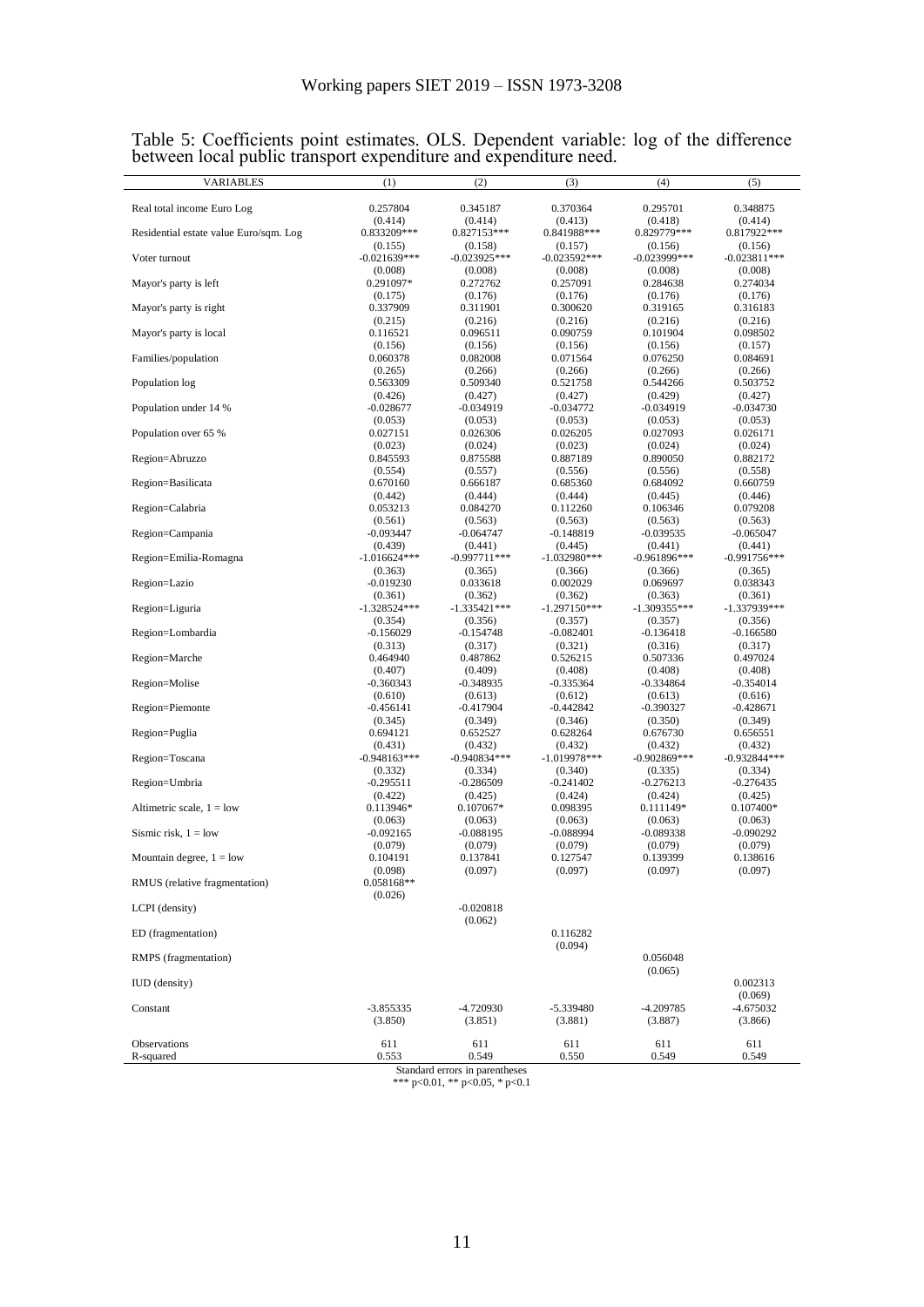| Real total income Euro Log<br>Residential estate value Euro/sqm. Log<br>Voter turnout<br>Mayor's party is left<br>Mayor's party is right<br>Mayor's party is local<br>Families/population<br>Population log<br>Population under 14 %<br>Population over 65 % | 0.257804<br>(0.414)<br>0.833209***<br>(0.155)<br>$-0.021639***$<br>(0.008)<br>0.291097*<br>(0.175)<br>0.337909<br>(0.215)<br>0.116521<br>(0.156)<br>0.060378<br>(0.265)<br>0.563309<br>(0.426)<br>$-0.028677$ | 0.345187<br>(0.414)<br>0.827153***<br>(0.158)<br>$-0.023925***$<br>(0.008)<br>0.272762<br>(0.176)<br>0.311901<br>(0.216)<br>0.096511<br>(0.156)<br>0.082008<br>(0.266)<br>0.509340 | 0.370364<br>(0.413)<br>0.841988***<br>(0.157)<br>$-0.023592***$<br>(0.008)<br>0.257091<br>(0.176)<br>0.300620<br>(0.216)<br>0.090759<br>(0.156)<br>0.071564 | 0.295701<br>(0.418)<br>0.829779***<br>(0.156)<br>$-0.023999$ ***<br>(0.008)<br>0.284638<br>(0.176)<br>0.319165<br>(0.216)<br>0.101904<br>(0.156)<br>0.076250 | 0.348875<br>(0.414)<br>0.817922***<br>(0.156)<br>$-0.023811***$<br>(0.008)<br>0.274034<br>(0.176)<br>0.316183<br>(0.216)<br>0.098502<br>(0.157) |
|--------------------------------------------------------------------------------------------------------------------------------------------------------------------------------------------------------------------------------------------------------------|---------------------------------------------------------------------------------------------------------------------------------------------------------------------------------------------------------------|------------------------------------------------------------------------------------------------------------------------------------------------------------------------------------|-------------------------------------------------------------------------------------------------------------------------------------------------------------|--------------------------------------------------------------------------------------------------------------------------------------------------------------|-------------------------------------------------------------------------------------------------------------------------------------------------|
|                                                                                                                                                                                                                                                              |                                                                                                                                                                                                               |                                                                                                                                                                                    |                                                                                                                                                             |                                                                                                                                                              |                                                                                                                                                 |
|                                                                                                                                                                                                                                                              |                                                                                                                                                                                                               |                                                                                                                                                                                    |                                                                                                                                                             |                                                                                                                                                              |                                                                                                                                                 |
|                                                                                                                                                                                                                                                              |                                                                                                                                                                                                               |                                                                                                                                                                                    |                                                                                                                                                             |                                                                                                                                                              |                                                                                                                                                 |
|                                                                                                                                                                                                                                                              |                                                                                                                                                                                                               |                                                                                                                                                                                    |                                                                                                                                                             |                                                                                                                                                              |                                                                                                                                                 |
|                                                                                                                                                                                                                                                              |                                                                                                                                                                                                               |                                                                                                                                                                                    |                                                                                                                                                             |                                                                                                                                                              |                                                                                                                                                 |
|                                                                                                                                                                                                                                                              |                                                                                                                                                                                                               |                                                                                                                                                                                    |                                                                                                                                                             |                                                                                                                                                              |                                                                                                                                                 |
|                                                                                                                                                                                                                                                              |                                                                                                                                                                                                               |                                                                                                                                                                                    |                                                                                                                                                             |                                                                                                                                                              |                                                                                                                                                 |
|                                                                                                                                                                                                                                                              |                                                                                                                                                                                                               |                                                                                                                                                                                    |                                                                                                                                                             |                                                                                                                                                              |                                                                                                                                                 |
|                                                                                                                                                                                                                                                              |                                                                                                                                                                                                               |                                                                                                                                                                                    |                                                                                                                                                             |                                                                                                                                                              |                                                                                                                                                 |
|                                                                                                                                                                                                                                                              |                                                                                                                                                                                                               |                                                                                                                                                                                    |                                                                                                                                                             |                                                                                                                                                              |                                                                                                                                                 |
|                                                                                                                                                                                                                                                              |                                                                                                                                                                                                               |                                                                                                                                                                                    |                                                                                                                                                             |                                                                                                                                                              | 0.084691                                                                                                                                        |
|                                                                                                                                                                                                                                                              |                                                                                                                                                                                                               |                                                                                                                                                                                    | (0.266)                                                                                                                                                     | (0.266)                                                                                                                                                      | (0.266)                                                                                                                                         |
|                                                                                                                                                                                                                                                              |                                                                                                                                                                                                               |                                                                                                                                                                                    | 0.521758                                                                                                                                                    | 0.544266                                                                                                                                                     | 0.503752                                                                                                                                        |
|                                                                                                                                                                                                                                                              |                                                                                                                                                                                                               | (0.427)<br>-0.034919                                                                                                                                                               | (0.427)<br>$-0.034772$                                                                                                                                      | (0.429)<br>$-0.034919$                                                                                                                                       | (0.427)<br>$-0.034730$                                                                                                                          |
|                                                                                                                                                                                                                                                              | (0.053)                                                                                                                                                                                                       | (0.053)                                                                                                                                                                            | (0.053)                                                                                                                                                     | (0.053)                                                                                                                                                      | (0.053)                                                                                                                                         |
|                                                                                                                                                                                                                                                              | 0.027151                                                                                                                                                                                                      | 0.026306                                                                                                                                                                           | 0.026205                                                                                                                                                    | 0.027093                                                                                                                                                     | 0.026171                                                                                                                                        |
|                                                                                                                                                                                                                                                              | (0.023)                                                                                                                                                                                                       | (0.024)                                                                                                                                                                            | (0.023)                                                                                                                                                     | (0.024)                                                                                                                                                      | (0.024)                                                                                                                                         |
| Region=Abruzzo                                                                                                                                                                                                                                               | 0.845593                                                                                                                                                                                                      | 0.875588                                                                                                                                                                           | 0.887189                                                                                                                                                    | 0.890050                                                                                                                                                     | 0.882172                                                                                                                                        |
| Region=Basilicata                                                                                                                                                                                                                                            | (0.554)<br>0.670160                                                                                                                                                                                           | (0.557)<br>0.666187                                                                                                                                                                | (0.556)<br>0.685360                                                                                                                                         | (0.556)<br>0.684092                                                                                                                                          | (0.558)<br>0.660759                                                                                                                             |
|                                                                                                                                                                                                                                                              | (0.442)                                                                                                                                                                                                       | (0.444)                                                                                                                                                                            | (0.444)                                                                                                                                                     | (0.445)                                                                                                                                                      | (0.446)                                                                                                                                         |
| Region=Calabria                                                                                                                                                                                                                                              | 0.053213                                                                                                                                                                                                      | 0.084270                                                                                                                                                                           | 0.112260                                                                                                                                                    | 0.106346                                                                                                                                                     | 0.079208                                                                                                                                        |
|                                                                                                                                                                                                                                                              | (0.561)                                                                                                                                                                                                       | (0.563)                                                                                                                                                                            | (0.563)                                                                                                                                                     | (0.563)                                                                                                                                                      | (0.563)                                                                                                                                         |
| Region=Campania                                                                                                                                                                                                                                              | -0.093447                                                                                                                                                                                                     | $-0.064747$                                                                                                                                                                        | -0.148819                                                                                                                                                   | $-0.039535$                                                                                                                                                  | $-0.065047$                                                                                                                                     |
| Region=Emilia-Romagna                                                                                                                                                                                                                                        | (0.439)<br>$-1.016624***$                                                                                                                                                                                     | (0.441)<br>$-0.997711***$                                                                                                                                                          | (0.445)<br>$-1.032980***$                                                                                                                                   | (0.441)<br>-0.961896***                                                                                                                                      | (0.441)<br>$-0.991756***$                                                                                                                       |
|                                                                                                                                                                                                                                                              | (0.363)                                                                                                                                                                                                       | (0.365)                                                                                                                                                                            | (0.366)                                                                                                                                                     | (0.366)                                                                                                                                                      | (0.365)                                                                                                                                         |
| Region=Lazio                                                                                                                                                                                                                                                 | $-0.019230$                                                                                                                                                                                                   | 0.033618                                                                                                                                                                           | 0.002029                                                                                                                                                    | 0.069697                                                                                                                                                     | 0.038343                                                                                                                                        |
|                                                                                                                                                                                                                                                              | (0.361)                                                                                                                                                                                                       | (0.362)                                                                                                                                                                            | (0.362)                                                                                                                                                     | (0.363)                                                                                                                                                      | (0.361)                                                                                                                                         |
| Region=Liguria                                                                                                                                                                                                                                               | $-1.328524***$                                                                                                                                                                                                | $-1.335421***$                                                                                                                                                                     | $-1.297150***$                                                                                                                                              | $-1.309355***$                                                                                                                                               | $-1.337939***$                                                                                                                                  |
| Region=Lombardia                                                                                                                                                                                                                                             | (0.354)<br>$-0.156029$                                                                                                                                                                                        | (0.356)<br>-0.154748                                                                                                                                                               | (0.357)<br>-0.082401                                                                                                                                        | (0.357)<br>-0.136418                                                                                                                                         | (0.356)<br>$-0.166580$                                                                                                                          |
|                                                                                                                                                                                                                                                              | (0.313)                                                                                                                                                                                                       | (0.317)                                                                                                                                                                            | (0.321)                                                                                                                                                     | (0.316)                                                                                                                                                      | (0.317)                                                                                                                                         |
| Region=Marche                                                                                                                                                                                                                                                | 0.464940                                                                                                                                                                                                      | 0.487862                                                                                                                                                                           | 0.526215                                                                                                                                                    | 0.507336                                                                                                                                                     | 0.497024                                                                                                                                        |
|                                                                                                                                                                                                                                                              | (0.407)                                                                                                                                                                                                       | (0.409)                                                                                                                                                                            | (0.408)                                                                                                                                                     | (0.408)                                                                                                                                                      | (0.408)                                                                                                                                         |
| Region=Molise                                                                                                                                                                                                                                                | $-0.360343$<br>(0.610)                                                                                                                                                                                        | -0.348935<br>(0.613)                                                                                                                                                               | $-0.335364$<br>(0.612)                                                                                                                                      | $-0.334864$<br>(0.613)                                                                                                                                       | $-0.354014$<br>(0.616)                                                                                                                          |
| Region=Piemonte                                                                                                                                                                                                                                              | $-0.456141$                                                                                                                                                                                                   | -0.417904                                                                                                                                                                          | -0.442842                                                                                                                                                   | $-0.390327$                                                                                                                                                  | $-0.428671$                                                                                                                                     |
|                                                                                                                                                                                                                                                              | (0.345)                                                                                                                                                                                                       | (0.349)                                                                                                                                                                            | (0.346)                                                                                                                                                     | (0.350)                                                                                                                                                      | (0.349)                                                                                                                                         |
| Region=Puglia                                                                                                                                                                                                                                                | 0.694121                                                                                                                                                                                                      | 0.652527                                                                                                                                                                           | 0.628264                                                                                                                                                    | 0.676730                                                                                                                                                     | 0.656551                                                                                                                                        |
|                                                                                                                                                                                                                                                              | (0.431)                                                                                                                                                                                                       | (0.432)                                                                                                                                                                            | (0.432)                                                                                                                                                     | (0.432)                                                                                                                                                      | (0.432)                                                                                                                                         |
| Region=Toscana                                                                                                                                                                                                                                               | $-0.948163***$<br>(0.332)                                                                                                                                                                                     | $-0.940834***$<br>(0.334)                                                                                                                                                          | $-1.019978***$<br>(0.340)                                                                                                                                   | $-0.902869***$<br>(0.335)                                                                                                                                    | $-0.932844***$<br>(0.334)                                                                                                                       |
| Region=Umbria                                                                                                                                                                                                                                                | $-0.295511$                                                                                                                                                                                                   | $-0.286509$                                                                                                                                                                        | $-0.241402$                                                                                                                                                 | $-0.276213$                                                                                                                                                  | $-0.276435$                                                                                                                                     |
|                                                                                                                                                                                                                                                              | (0.422)                                                                                                                                                                                                       | (0.425)                                                                                                                                                                            | (0.424)                                                                                                                                                     | (0.424)                                                                                                                                                      | (0.425)                                                                                                                                         |
| Altimetric scale, $1 =$ low                                                                                                                                                                                                                                  | 0.113946*                                                                                                                                                                                                     | $0.107067*$                                                                                                                                                                        | 0.098395                                                                                                                                                    | 0.111149*                                                                                                                                                    | $0.107400*$                                                                                                                                     |
|                                                                                                                                                                                                                                                              | (0.063)                                                                                                                                                                                                       | (0.063)                                                                                                                                                                            | (0.063)                                                                                                                                                     | (0.063)                                                                                                                                                      | (0.063)                                                                                                                                         |
| Sismic risk, $1 =$ low                                                                                                                                                                                                                                       | $-0.092165$<br>(0.079)                                                                                                                                                                                        | -0.088195<br>(0.079)                                                                                                                                                               | -0.088994<br>(0.079)                                                                                                                                        | -0.089338<br>(0.079)                                                                                                                                         | $-0.090292$<br>(0.079)                                                                                                                          |
| Mountain degree, $1 =$ low                                                                                                                                                                                                                                   | 0.104191                                                                                                                                                                                                      | 0.137841                                                                                                                                                                           | 0.127547                                                                                                                                                    | 0.139399                                                                                                                                                     | 0.138616                                                                                                                                        |
|                                                                                                                                                                                                                                                              | (0.098)                                                                                                                                                                                                       | (0.097)                                                                                                                                                                            | (0.097)                                                                                                                                                     | (0.097)                                                                                                                                                      | (0.097)                                                                                                                                         |
| RMUS (relative fragmentation)                                                                                                                                                                                                                                | 0.058168**                                                                                                                                                                                                    |                                                                                                                                                                                    |                                                                                                                                                             |                                                                                                                                                              |                                                                                                                                                 |
|                                                                                                                                                                                                                                                              | (0.026)                                                                                                                                                                                                       | $-0.020818$                                                                                                                                                                        |                                                                                                                                                             |                                                                                                                                                              |                                                                                                                                                 |
| LCPI (density)                                                                                                                                                                                                                                               |                                                                                                                                                                                                               | (0.062)                                                                                                                                                                            |                                                                                                                                                             |                                                                                                                                                              |                                                                                                                                                 |
| ED (fragmentation)                                                                                                                                                                                                                                           |                                                                                                                                                                                                               |                                                                                                                                                                                    | 0.116282                                                                                                                                                    |                                                                                                                                                              |                                                                                                                                                 |
|                                                                                                                                                                                                                                                              |                                                                                                                                                                                                               |                                                                                                                                                                                    | (0.094)                                                                                                                                                     |                                                                                                                                                              |                                                                                                                                                 |
| RMPS (fragmentation)                                                                                                                                                                                                                                         |                                                                                                                                                                                                               |                                                                                                                                                                                    |                                                                                                                                                             | 0.056048                                                                                                                                                     |                                                                                                                                                 |
|                                                                                                                                                                                                                                                              |                                                                                                                                                                                                               |                                                                                                                                                                                    |                                                                                                                                                             | (0.065)                                                                                                                                                      |                                                                                                                                                 |
| <b>IUD</b> (density)                                                                                                                                                                                                                                         |                                                                                                                                                                                                               |                                                                                                                                                                                    |                                                                                                                                                             |                                                                                                                                                              | 0.002313<br>(0.069)                                                                                                                             |
| Constant                                                                                                                                                                                                                                                     | $-3.855335$                                                                                                                                                                                                   | -4.720930                                                                                                                                                                          | $-5.339480$                                                                                                                                                 | $-4.209785$                                                                                                                                                  | $-4.675032$                                                                                                                                     |
|                                                                                                                                                                                                                                                              | (3.850)                                                                                                                                                                                                       | (3.851)                                                                                                                                                                            | (3.881)                                                                                                                                                     | (3.887)                                                                                                                                                      | (3.866)                                                                                                                                         |
| Observations                                                                                                                                                                                                                                                 | 611                                                                                                                                                                                                           | 611                                                                                                                                                                                | 611                                                                                                                                                         | 611                                                                                                                                                          | 611                                                                                                                                             |
| R-squared                                                                                                                                                                                                                                                    | 0.553                                                                                                                                                                                                         | 0.549                                                                                                                                                                              | 0.550                                                                                                                                                       | 0.549                                                                                                                                                        | 0.549                                                                                                                                           |

Table 5: Coefficients point estimates. OLS. Dependent variable: log of the difference between local public transport expenditure and expenditure need.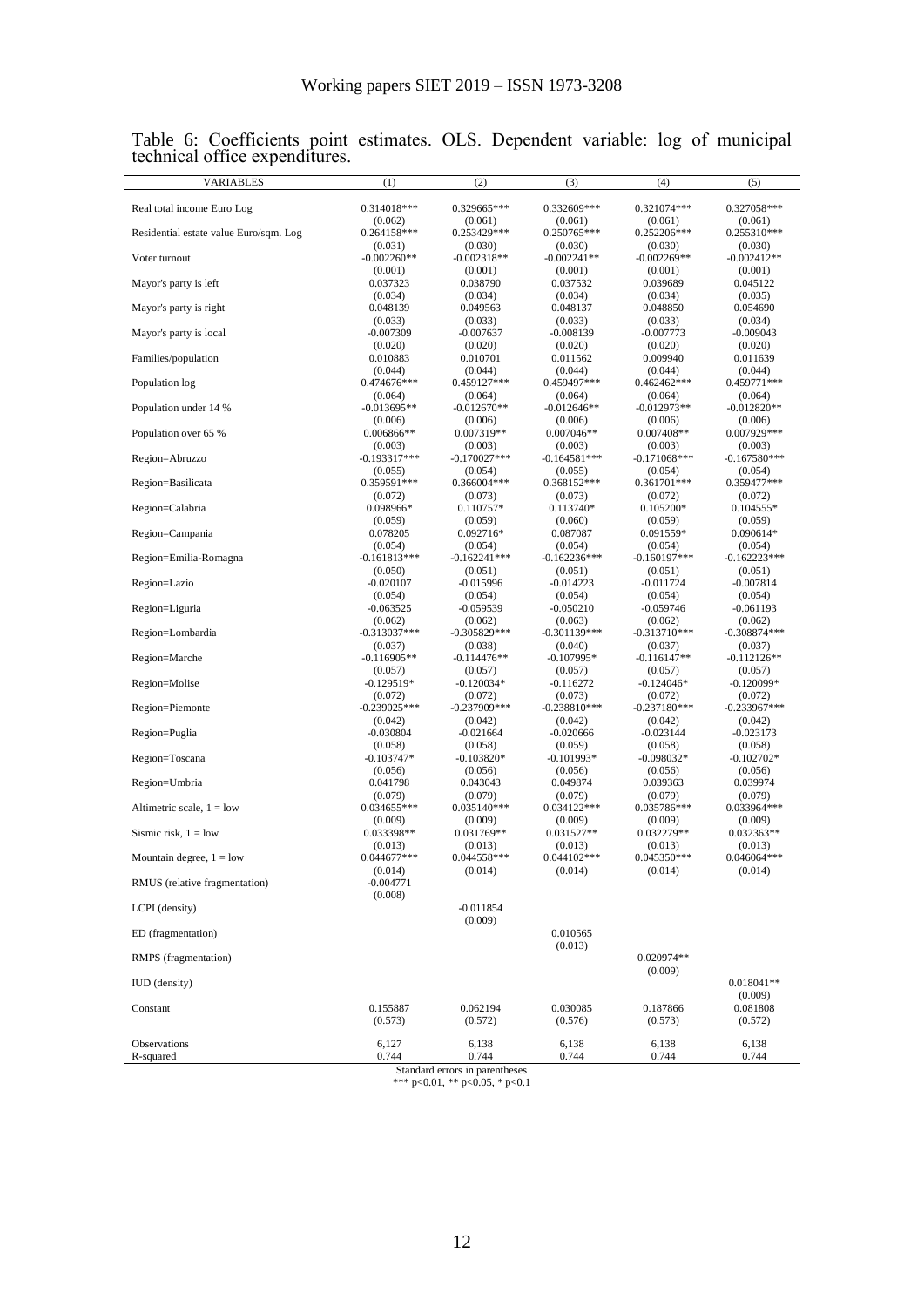| VARIABLES                              | (1)                       | (2)                       | (3)                       | (4)                       | (5)                       |
|----------------------------------------|---------------------------|---------------------------|---------------------------|---------------------------|---------------------------|
| Real total income Euro Log             | 0.314018***               | 0.329665***               | 0.332609***               | 0.321074***               | 0.327058***               |
| Residential estate value Euro/sqm. Log | (0.062)<br>$0.264158***$  | (0.061)<br>0.253429***    | (0.061)<br>0.250765***    | (0.061)<br>0.252206***    | (0.061)<br>0.255310***    |
|                                        | (0.031)                   | (0.030)                   | (0.030)                   | (0.030)                   | (0.030)                   |
| Voter turnout                          | $-0.002260**$<br>(0.001)  | $-0.002318**$<br>(0.001)  | $-0.002241**$             | $-0.002269**$             | $-0.002412**$             |
| Mayor's party is left                  | 0.037323                  | 0.038790                  | (0.001)<br>0.037532       | (0.001)<br>0.039689       | (0.001)<br>0.045122       |
|                                        | (0.034)                   | (0.034)                   | (0.034)                   | (0.034)                   | (0.035)                   |
| Mayor's party is right                 | 0.048139<br>(0.033)       | 0.049563<br>(0.033)       | 0.048137<br>(0.033)       | 0.048850<br>(0.033)       | 0.054690<br>(0.034)       |
| Mayor's party is local                 | $-0.007309$               | $-0.007637$               | $-0.008139$               | $-0.007773$               | $-0.009043$               |
| Families/population                    | (0.020)<br>0.010883       | (0.020)<br>0.010701       | (0.020)<br>0.011562       | (0.020)<br>0.009940       | (0.020)<br>0.011639       |
|                                        | (0.044)                   | (0.044)                   | (0.044)                   | (0.044)                   | (0.044)                   |
| Population log                         | 0.474676***<br>(0.064)    | 0.459127***<br>(0.064)    | 0.459497***<br>(0.064)    | 0.462462***<br>(0.064)    | 0.459771***<br>(0.064)    |
| Population under 14 %                  | $-0.013695**$             | $-0.012670**$             | $-0.012646**$             | $-0.012973**$             | $-0.012820**$             |
| Population over 65 %                   | (0.006)<br>0.006866**     | (0.006)<br>0.007319**     | (0.006)<br>$0.007046**$   | (0.006)<br>$0.007408**$   | (0.006)<br>0.007929***    |
|                                        | (0.003)                   | (0.003)                   | (0.003)                   | (0.003)                   | (0.003)                   |
| Region=Abruzzo                         | $-0.193317***$<br>(0.055) | $-0.170027***$<br>(0.054) | $-0.164581***$<br>(0.055) | $-0.171068***$<br>(0.054) | $-0.167580***$<br>(0.054) |
| Region=Basilicata                      | 0.359591***               | 0.366004***               | 0.368152***               | 0.361701***               | 0.359477***               |
| Region=Calabria                        | (0.072)<br>0.098966*      | (0.073)<br>$0.110757*$    | (0.073)<br>$0.113740*$    | (0.072)<br>$0.105200*$    | (0.072)<br>$0.104555*$    |
|                                        | (0.059)                   | (0.059)                   | (0.060)                   | (0.059)                   | (0.059)                   |
| Region=Campania                        | 0.078205                  | 0.092716*                 | 0.087087                  | 0.091559*                 | 0.090614*                 |
| Region=Emilia-Romagna                  | (0.054)<br>$-0.161813***$ | (0.054)<br>$-0.162241***$ | (0.054)<br>$-0.162236***$ | (0.054)<br>$-0.160197***$ | (0.054)<br>$-0.162223***$ |
|                                        | (0.050)                   | (0.051)                   | (0.051)                   | (0.051)                   | (0.051)                   |
| Region=Lazio                           | $-0.020107$<br>(0.054)    | -0.015996<br>(0.054)      | $-0.014223$<br>(0.054)    | -0.011724<br>(0.054)      | $-0.007814$<br>(0.054)    |
| Region=Liguria                         | $-0.063525$               | $-0.059539$               | $-0.050210$               | $-0.059746$               | $-0.061193$               |
| Region=Lombardia                       | (0.062)<br>$-0.313037***$ | (0.062)<br>$-0.305829***$ | (0.063)<br>$-0.301139***$ | (0.062)<br>$-0.313710***$ | (0.062)<br>$-0.308874***$ |
|                                        | (0.037)                   | (0.038)                   | (0.040)                   | (0.037)                   | (0.037)                   |
| Region=Marche                          | $-0.116905**$<br>(0.057)  | $-0.114476**$<br>(0.057)  | $-0.107995*$<br>(0.057)   | $-0.116147**$<br>(0.057)  | $-0.112126**$<br>(0.057)  |
| Region=Molise                          | $-0.129519*$              | -0.120034*                | $-0.116272$               | $-0.124046*$              | $-0.120099*$              |
| Region=Piemonte                        | (0.072)<br>$-0.239025***$ | (0.072)<br>$-0.237909***$ | (0.073)<br>$-0.238810***$ | (0.072)<br>$-0.237180***$ | (0.072)<br>$-0.233967***$ |
|                                        | (0.042)                   | (0.042)                   | (0.042)                   | (0.042)                   | (0.042)                   |
| Region=Puglia                          | $-0.030804$<br>(0.058)    | $-0.021664$<br>(0.058)    | $-0.020666$<br>(0.059)    | $-0.023144$<br>(0.058)    | $-0.023173$<br>(0.058)    |
| Region=Toscana                         | $-0.103747*$              | $-0.103820*$              | $-0.101993*$              | $-0.098032*$              | $-0.102702*$              |
| Region=Umbria                          | (0.056)<br>0.041798       | (0.056)<br>0.043043       | (0.056)<br>0.049874       | (0.056)<br>0.039363       | (0.056)<br>0.039974       |
|                                        | (0.079)                   | (0.079)                   | (0.079)                   | (0.079)                   | (0.079)                   |
| Altimetric scale, $1 =$ low            | 0.034655***               | 0.035140***               | 0.034122***               | 0.035786***               | 0.033964***               |
| Sismic risk, $1 =$ low                 | (0.009)<br>0.033398**     | (0.009)<br>$0.031769**$   | (0.009)<br>0.031527**     | (0.009)<br>0.032279**     | (0.009)<br>$0.032363**$   |
|                                        | (0.013)                   | (0.013)                   | (0.013)                   | (0.013)                   | (0.013)                   |
| Mountain degree, $1 =$ low             | 0.044677***<br>(0.014)    | 0.044558***<br>(0.014)    | 0.044102***<br>(0.014)    | 0.045350***<br>(0.014)    | $0.046064***$<br>(0.014)  |
| RMUS (relative fragmentation)          | $-0.004771$               |                           |                           |                           |                           |
| LCPI (density)                         | (0.008)                   | $-0.011854$               |                           |                           |                           |
|                                        |                           | (0.009)                   |                           |                           |                           |
| ED (fragmentation)                     |                           |                           | 0.010565<br>(0.013)       |                           |                           |
| RMPS (fragmentation)                   |                           |                           |                           | 0.020974**                |                           |
| <b>IUD</b> (density)                   |                           |                           |                           | (0.009)                   | $0.018041**$              |
|                                        |                           |                           |                           |                           | (0.009)                   |
| Constant                               | 0.155887<br>(0.573)       | 0.062194<br>(0.572)       | 0.030085<br>(0.576)       | 0.187866<br>(0.573)       | 0.081808<br>(0.572)       |
|                                        |                           |                           |                           |                           |                           |
| Observations<br>R-squared              | 6,127<br>0.744            | 6,138<br>0.744            | 6,138<br>0.744            | 6,138<br>0.744            | 6,138<br>0.744            |

Table 6: Coefficients point estimates. OLS. Dependent variable: log of municipal technical office expenditures.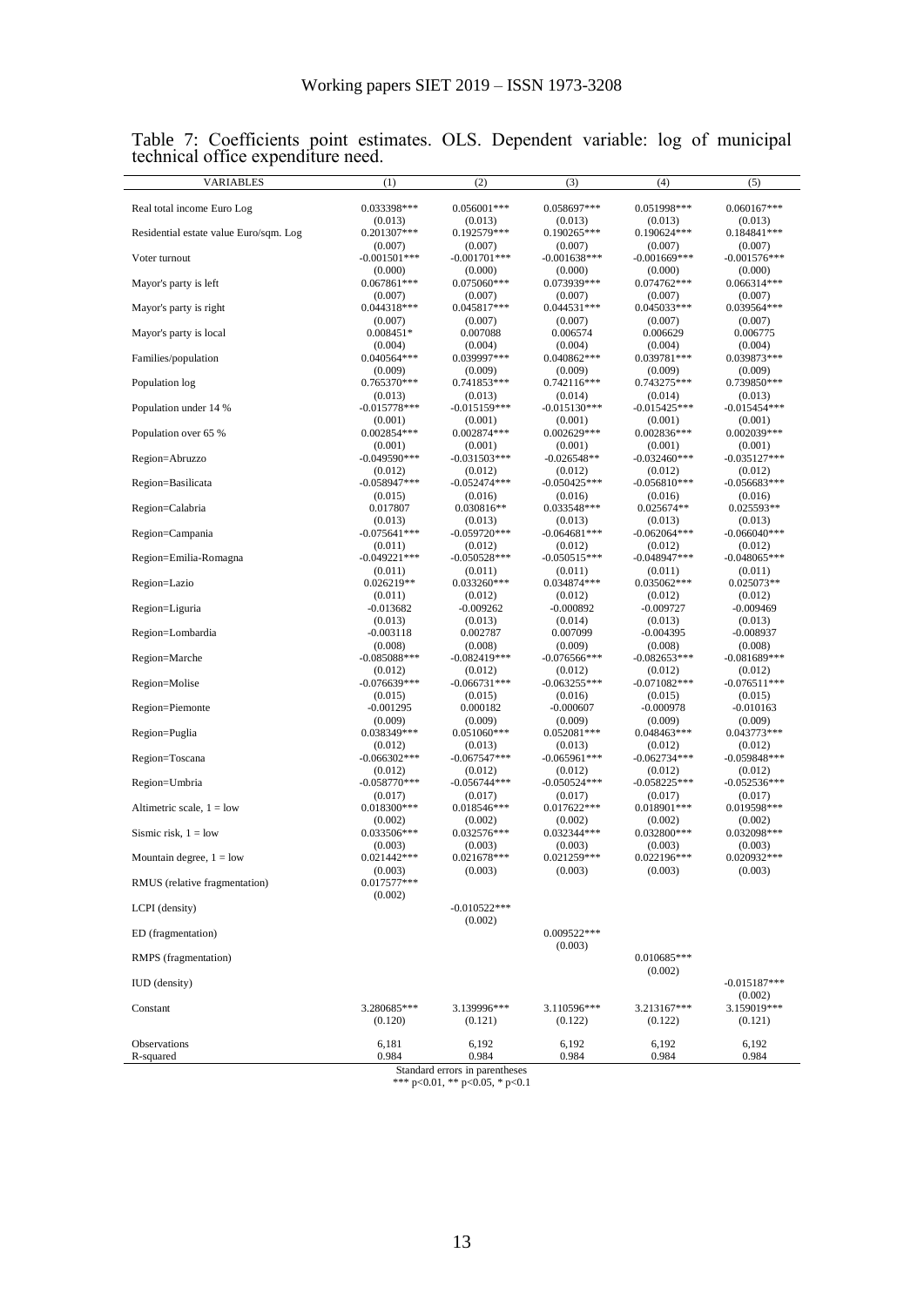| <b>VARIABLES</b>                       | (1)                        | (2)                                     | (3)                        | (4)                       | (5)                       |
|----------------------------------------|----------------------------|-----------------------------------------|----------------------------|---------------------------|---------------------------|
| Real total income Euro Log             | 0.033398***                | $0.056001***$                           | 0.058697***                | 0.051998***               | $0.060167***$             |
|                                        | (0.013)                    | (0.013)                                 | (0.013)                    | (0.013)                   | (0.013)                   |
| Residential estate value Euro/sqm. Log | 0.201307***<br>(0.007)     | 0.192579***<br>(0.007)                  | 0.190265***<br>(0.007)     | 0.190624***<br>(0.007)    | $0.184841***$<br>(0.007)  |
| Voter turnout                          | $-0.001501$ ***            | $-0.001701$ ***                         | $-0.001638***$             | $-0.001669$ ***           | $-0.001576***$            |
|                                        | (0.000)                    | (0.000)                                 | (0.000)                    | (0.000)                   | (0.000)                   |
| Mayor's party is left                  | $0.067861***$<br>(0.007)   | 0.075060***<br>(0.007)                  | 0.073939***<br>(0.007)     | $0.074762***$<br>(0.007)  | $0.066314***$<br>(0.007)  |
| Mayor's party is right                 | $0.044318***$              | 0.045817***                             | 0.044531***                | 0.045033***               | 0.039564***               |
|                                        | (0.007)                    | (0.007)                                 | (0.007)                    | (0.007)                   | (0.007)                   |
| Mayor's party is local                 | $0.008451*$                | 0.007088                                | 0.006574                   | 0.006629                  | 0.006775                  |
| Families/population                    | (0.004)<br>$0.040564***$   | (0.004)<br>0.039997***                  | (0.004)<br>0.040862***     | (0.004)<br>0.039781***    | (0.004)<br>0.039873***    |
|                                        | (0.009)                    | (0.009)                                 | (0.009)                    | (0.009)                   | (0.009)                   |
| Population log                         | 0.765370***                | 0.741853***                             | $0.742116***$              | 0.743275***               | 0.739850***               |
| Population under 14 %                  | (0.013)<br>$-0.015778***$  | (0.013)<br>$-0.015159***$               | (0.014)<br>$-0.015130***$  | (0.014)<br>$-0.015425***$ | (0.013)<br>$-0.015454***$ |
|                                        | (0.001)                    | (0.001)                                 | (0.001)                    | (0.001)                   | (0.001)                   |
| Population over 65 %                   | 0.002854***                | $0.002874***$                           | 0.002629***                | $0.002836***$             | $0.002039***$             |
| Region=Abruzzo                         | (0.001)<br>$-0.049590***$  | (0.001)<br>$-0.031503***$               | (0.001)<br>$-0.026548**$   | (0.001)<br>$-0.032460***$ | (0.001)<br>$-0.035127***$ |
|                                        | (0.012)                    | (0.012)                                 | (0.012)                    | (0.012)                   | (0.012)                   |
| Region=Basilicata                      | $-0.058947***$             | $-0.052474***$                          | $-0.050425***$             | $-0.056810***$            | $-0.056683***$            |
|                                        | (0.015)                    | (0.016)                                 | (0.016)<br>0.033548***     | (0.016)                   | (0.016)                   |
| Region=Calabria                        | 0.017807<br>(0.013)        | $0.030816**$<br>(0.013)                 | (0.013)                    | $0.025674**$<br>(0.013)   | 0.025593**<br>(0.013)     |
| Region=Campania                        | $-0.075641***$             | $-0.059720***$                          | $-0.064681***$             | $-0.062064***$            | $-0.066040***$            |
|                                        | (0.011)                    | (0.012)                                 | (0.012)                    | (0.012)                   | (0.012)                   |
| Region=Emilia-Romagna                  | $-0.049221$ ***<br>(0.011) | $-0.050528***$<br>(0.011)               | $-0.050515***$<br>(0.011)  | $-0.048947***$<br>(0.011) | $-0.048065***$<br>(0.011) |
| Region=Lazio                           | 0.026219**                 | 0.033260***                             | 0.034874***                | 0.035062***               | 0.025073**                |
|                                        | (0.011)                    | (0.012)                                 | (0.012)                    | (0.012)                   | (0.012)                   |
| Region=Liguria                         | $-0.013682$<br>(0.013)     | $-0.009262$<br>(0.013)                  | $-0.000892$<br>(0.014)     | $-0.009727$<br>(0.013)    | $-0.009469$<br>(0.013)    |
| Region=Lombardia                       | $-0.003118$                | 0.002787                                | 0.007099                   | $-0.004395$               | $-0.008937$               |
|                                        | (0.008)                    | (0.008)                                 | (0.009)                    | (0.008)                   | (0.008)                   |
| Region=Marche                          | $-0.085088***$<br>(0.012)  | $-0.082419***$<br>(0.012)               | $-0.076566$ ***<br>(0.012) | $-0.082653***$<br>(0.012) | $-0.081689***$<br>(0.012) |
| Region=Molise                          | $-0.076639***$             | $-0.066731***$                          | $-0.063255***$             | $-0.071082***$            | $-0.076511***$            |
|                                        | (0.015)                    | (0.015)                                 | (0.016)                    | (0.015)                   | (0.015)                   |
| Region=Piemonte                        | $-0.001295$                | 0.000182                                | $-0.000607$                | $-0.000978$               | $-0.010163$               |
| Region=Puglia                          | (0.009)<br>0.038349***     | (0.009)<br>$0.051060***$                | (0.009)<br>0.052081***     | (0.009)<br>0.048463***    | (0.009)<br>0.043773***    |
|                                        | (0.012)                    | (0.013)                                 | (0.013)                    | (0.012)                   | (0.012)                   |
| Region=Toscana                         | $-0.066302***$             | $-0.067547***$                          | $-0.065961***$             | $-0.062734***$            | $-0.059848***$            |
| Region=Umbria                          | (0.012)<br>$-0.058770***$  | (0.012)<br>$-0.056744***$               | (0.012)<br>$-0.050524***$  | (0.012)<br>$-0.058225***$ | (0.012)<br>-0.052536***   |
|                                        | (0.017)                    | (0.017)                                 | (0.017)                    | (0.017)                   | (0.017)                   |
| Altimetric scale, $1 =$ low            | $0.018300***$              | 0.018546***                             | 0.017622***                | 0.018901***               | 0.019598***               |
| Sismic risk, $1 =$ low                 | (0.002)<br>0.033506***     | (0.002)<br>0.032576***                  | (0.002)<br>0.032344***     | (0.002)<br>0.032800***    | (0.002)<br>0.032098***    |
|                                        | (0.003)                    | (0.003)                                 | (0.003)                    | (0.003)                   | (0.003)                   |
| Mountain degree, $1 =$ low             | $0.021442***$              | 0.021678***                             | 0.021259***                | 0.022196***               | 0.020932***               |
| RMUS (relative fragmentation)          | (0.003)<br>$0.017577***$   | (0.003)                                 | (0.003)                    | (0.003)                   | (0.003)                   |
|                                        | (0.002)                    |                                         |                            |                           |                           |
| LCPI (density)                         |                            | $-0.010522***$                          |                            |                           |                           |
| ED (fragmentation)                     |                            | (0.002)                                 | 0.009522***                |                           |                           |
|                                        |                            |                                         | (0.003)                    |                           |                           |
| RMPS (fragmentation)                   |                            |                                         |                            | $0.010685***$             |                           |
| <b>IUD</b> (density)                   |                            |                                         |                            | (0.002)                   | $-0.015187***$            |
|                                        |                            |                                         |                            |                           | (0.002)                   |
| Constant                               | 3.280685***                | 3.139996***                             | 3.110596***                | 3.213167***               | 3.159019***               |
|                                        | (0.120)                    | (0.121)                                 | (0.122)                    | (0.122)                   | (0.121)                   |
| Observations                           | 6,181                      | 6,192                                   | 6,192                      | 6,192                     | 6,192                     |
| R-squared                              | 0.984                      | 0.984<br>Standard errors in parentheses | 0.984                      | 0.984                     | 0.984                     |

Table 7: Coefficients point estimates. OLS. Dependent variable: log of municipal technical office expenditure need.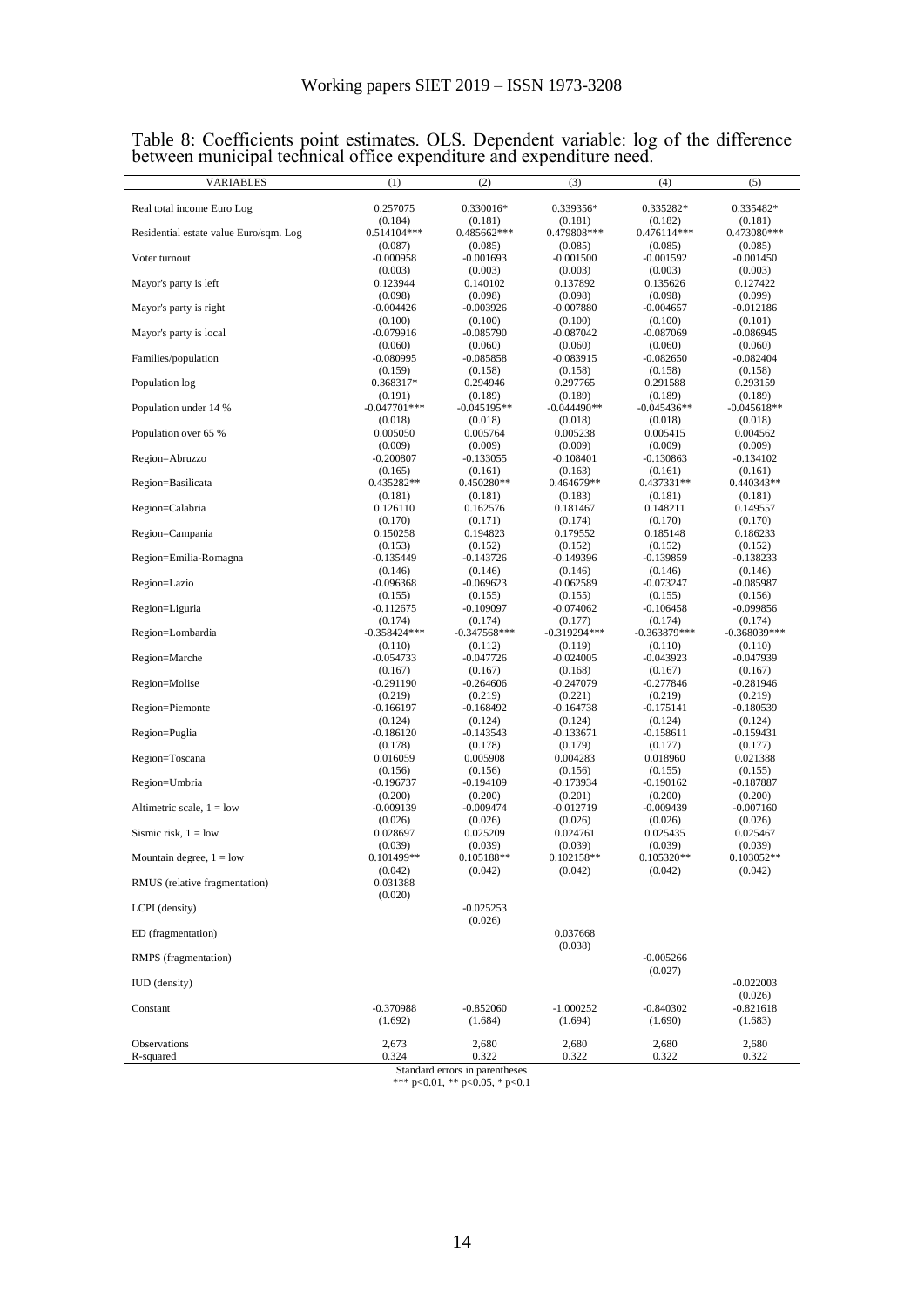|  | Table 8: Coefficients point estimates. OLS. Dependent variable: log of the difference |  |  |  |
|--|---------------------------------------------------------------------------------------|--|--|--|
|  | between municipal technical office expenditure and expenditure need.                  |  |  |  |

| л.<br>VARIABLES                        | (1)                        | (2)                    | (3)                    | (4)                    | (5)                    |
|----------------------------------------|----------------------------|------------------------|------------------------|------------------------|------------------------|
| Real total income Euro Log             | 0.257075                   | 0.330016*              | 0.339356*              | 0.335282*              | 0.335482*              |
|                                        | (0.184)                    | (0.181)                | (0.181)                | (0.182)                | (0.181)                |
| Residential estate value Euro/sqm. Log | 0.514104***                | 0.485662***            | 0.479808***            | 0.476114***            | 0.473080***            |
|                                        | (0.087)                    | (0.085)                | (0.085)                | (0.085)                | (0.085)                |
| Voter turnout                          | $-0.000958$                | $-0.001693$            | $-0.001500$            | -0.001592              | $-0.001450$            |
|                                        | (0.003)                    | (0.003)                | (0.003)                | (0.003)                | (0.003)                |
| Mayor's party is left                  | 0.123944<br>(0.098)        | 0.140102               | 0.137892               | 0.135626               | 0.127422               |
| Mayor's party is right                 | $-0.004426$                | (0.098)<br>$-0.003926$ | (0.098)<br>$-0.007880$ | (0.098)<br>-0.004657   | (0.099)<br>-0.012186   |
|                                        | (0.100)                    | (0.100)                | (0.100)                | (0.100)                | (0.101)                |
| Mayor's party is local                 | $-0.079916$                | $-0.085790$            | $-0.087042$            | $-0.087069$            | -0.086945              |
|                                        | (0.060)                    | (0.060)                | (0.060)                | (0.060)                | (0.060)                |
| Families/population                    | $-0.080995$                | $-0.085858$            | -0.083915              | $-0.082650$            | $-0.082404$            |
|                                        | (0.159)                    | (0.158)                | (0.158)                | (0.158)                | (0.158)                |
| Population log                         | 0.368317*                  | 0.294946               | 0.297765               | 0.291588               | 0.293159               |
|                                        | (0.191)                    | (0.189)                | (0.189)                | (0.189)                | (0.189)                |
| Population under 14 %                  | $-0.047701$ ***<br>(0.018) | -0.045195**<br>(0.018) | -0.044490**<br>(0.018) | -0.045436**<br>(0.018) | -0.045618**<br>(0.018) |
| Population over 65 %                   | 0.005050                   | 0.005764               | 0.005238               | 0.005415               | 0.004562               |
|                                        | (0.009)                    | (0.009)                | (0.009)                | (0.009)                | (0.009)                |
| Region=Abruzzo                         | $-0.200807$                | $-0.133055$            | $-0.108401$            | -0.130863              | $-0.134102$            |
|                                        | (0.165)                    | (0.161)                | (0.163)                | (0.161)                | (0.161)                |
| Region=Basilicata                      | 0.435282**                 | 0.450280**             | 0.464679**             | 0.437331**             | $0.440343**$           |
|                                        | (0.181)                    | (0.181)                | (0.183)                | (0.181)                | (0.181)                |
| Region=Calabria                        | 0.126110                   | 0.162576               | 0.181467               | 0.148211               | 0.149557               |
| Region=Campania                        | (0.170)                    | (0.171)                | (0.174)                | (0.170)                | (0.170)                |
|                                        | 0.150258<br>(0.153)        | 0.194823<br>(0.152)    | 0.179552<br>(0.152)    | 0.185148<br>(0.152)    | 0.186233<br>(0.152)    |
| Region=Emilia-Romagna                  | $-0.135449$                | -0.143726              | -0.149396              | -0.139859              | -0.138233              |
|                                        | (0.146)                    | (0.146)                | (0.146)                | (0.146)                | (0.146)                |
| Region=Lazio                           | $-0.096368$                | $-0.069623$            | -0.062589              | -0.073247              | -0.085987              |
|                                        | (0.155)                    | (0.155)                | (0.155)                | (0.155)                | (0.156)                |
| Region=Liguria                         | $-0.112675$                | -0.109097              | $-0.074062$            | $-0.106458$            | -0.099856              |
|                                        | (0.174)                    | (0.174)                | (0.177)                | (0.174)                | (0.174)                |
| Region=Lombardia                       | $-0.358424***$             | $-0.347568***$         | -0.319294***           | -0.363879***           | $-0.368039***$         |
| Region=Marche                          | (0.110)<br>$-0.054733$     | (0.112)<br>$-0.047726$ | (0.119)<br>$-0.024005$ | (0.110)<br>$-0.043923$ | (0.110)<br>-0.047939   |
|                                        | (0.167)                    | (0.167)                | (0.168)                | (0.167)                | (0.167)                |
| Region=Molise                          | $-0.291190$                | $-0.264606$            | $-0.247079$            | -0.277846              | -0.281946              |
|                                        | (0.219)                    | (0.219)                | (0.221)                | (0.219)                | (0.219)                |
| Region=Piemonte                        | $-0.166197$                | $-0.168492$            | $-0.164738$            | $-0.175141$            | -0.180539              |
|                                        | (0.124)                    | (0.124)                | (0.124)                | (0.124)                | (0.124)                |
| Region=Puglia                          | $-0.186120$                | $-0.143543$            | -0.133671              | -0.158611              | $-0.159431$            |
|                                        | (0.178)                    | (0.178)                | (0.179)                | (0.177)                | (0.177)                |
| Region=Toscana                         | 0.016059                   | 0.005908               | 0.004283               | 0.018960               | 0.021388               |
| Region=Umbria                          | (0.156)<br>$-0.196737$     | (0.156)<br>$-0.194109$ | (0.156)<br>-0.173934   | (0.155)<br>-0.190162   | (0.155)<br>-0.187887   |
|                                        | (0.200)                    | (0.200)                | (0.201)                | (0.200)                | (0.200)                |
| Altimetric scale, $1 =$ low            | -0.009139                  | $-0.009474$            | $-0.012719$            | -0.009439              | -0.007160              |
|                                        | (0.026)                    | (0.026)                | (0.026)                | (0.026)                | (0.026)                |
| Sismic risk, $1 =$ low                 | 0.028697                   | 0.025209               | 0.024761               | 0.025435               | 0.025467               |
|                                        | (0.039)                    | (0.039)                | (0.039)                | (0.039)                | (0.039)                |
| Mountain degree, $1 =$ low             | 0.101499**                 | $0.105188**$           | $0.102158**$           | 0.105320**             | $0.103052**$           |
|                                        | (0.042)                    | (0.042)                | (0.042)                | (0.042)                | (0.042)                |
| RMUS (relative fragmentation)          | 0.031388                   |                        |                        |                        |                        |
|                                        | (0.020)                    |                        |                        |                        |                        |
| LCPI (density)                         |                            | $-0.025253$<br>(0.026) |                        |                        |                        |
|                                        |                            |                        | 0.037668               |                        |                        |
| ED (fragmentation)                     |                            |                        | (0.038)                |                        |                        |
| RMPS (fragmentation)                   |                            |                        |                        | $-0.005266$            |                        |
|                                        |                            |                        |                        | (0.027)                |                        |
| <b>IUD</b> (density)                   |                            |                        |                        |                        | $-0.022003$            |
|                                        |                            |                        |                        |                        | (0.026)                |
| Constant                               | $-0.370988$                | $-0.852060$            | $-1.000252$            | $-0.840302$            | $-0.821618$            |
|                                        | (1.692)                    | (1.684)                | (1.694)                | (1.690)                | (1.683)                |
|                                        |                            |                        | 2,680                  | 2,680                  | 2,680                  |
| Observations                           | 2,673                      | 2,680                  |                        |                        |                        |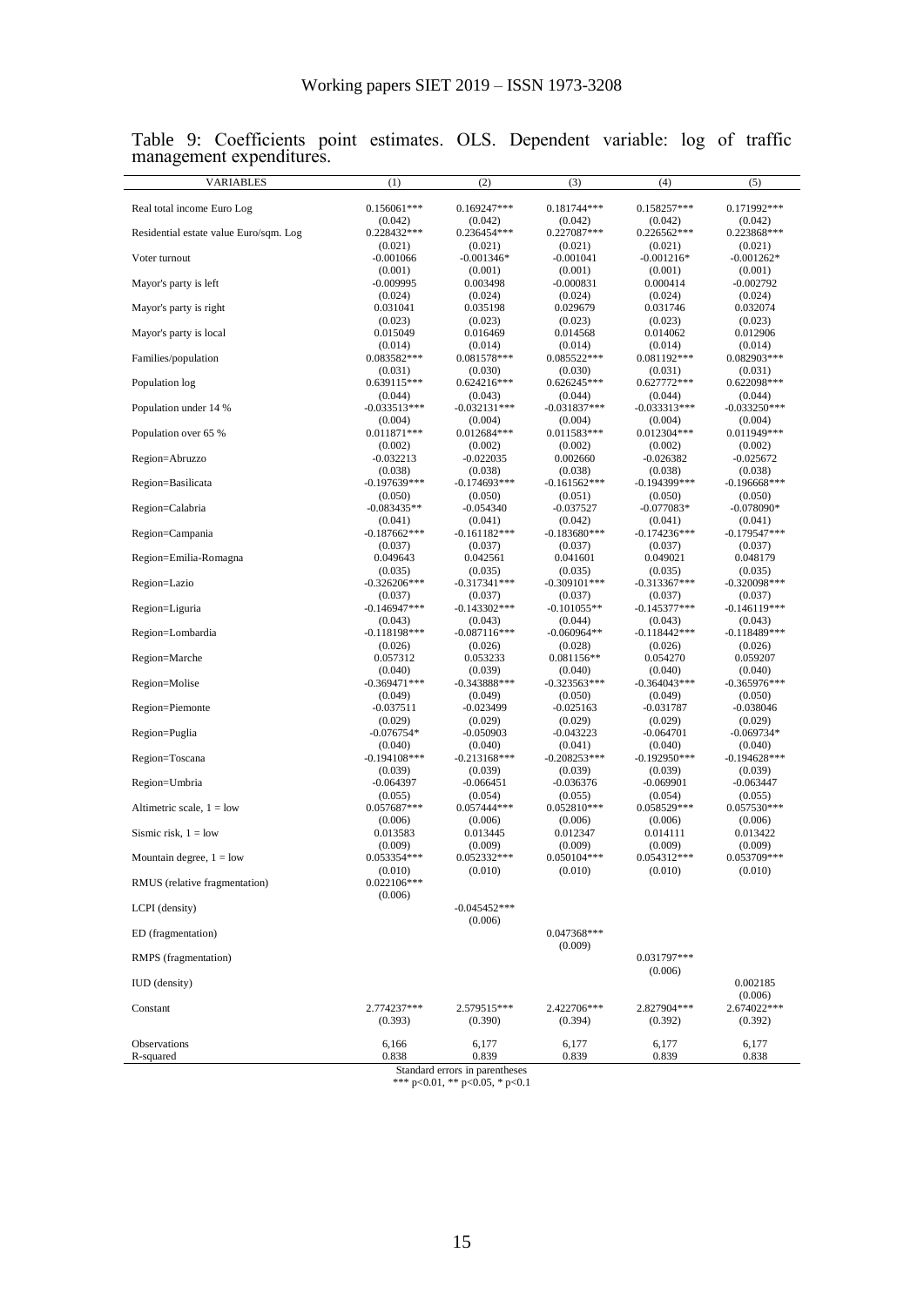| <b>VARIABLES</b>                       | (1)                       | (2)                            | (3)                       | (4)                       | (5)                       |
|----------------------------------------|---------------------------|--------------------------------|---------------------------|---------------------------|---------------------------|
| Real total income Euro Log             | $0.156061***$             | $0.169247***$                  | $0.181744***$             | 0.158257***               | 0.171992***               |
|                                        | (0.042)                   | (0.042)                        | (0.042)                   | (0.042)                   | (0.042)                   |
| Residential estate value Euro/sqm. Log | 0.228432***               | 0.236454***                    | 0.227087***               | 0.226562***               | 0.223868***               |
|                                        | (0.021)                   | (0.021)                        | (0.021)                   | (0.021)                   | (0.021)                   |
| Voter turnout                          | $-0.001066$               | $-0.001346*$                   | $-0.001041$               | $-0.001216*$              | $-0.001262*$              |
|                                        | (0.001)                   | (0.001)                        | (0.001)                   | (0.001)                   | (0.001)                   |
| Mayor's party is left                  | $-0.009995$               | 0.003498                       | $-0.000831$               | 0.000414                  | $-0.002792$               |
|                                        | (0.024)                   | (0.024)                        | (0.024)                   | (0.024)                   | (0.024)                   |
| Mayor's party is right                 | 0.031041                  | 0.035198                       | 0.029679                  | 0.031746                  | 0.032074                  |
|                                        | (0.023)                   | (0.023)                        | (0.023)                   | (0.023)                   | (0.023)                   |
| Mayor's party is local                 | 0.015049                  | 0.016469                       | 0.014568                  | 0.014062                  | 0.012906                  |
|                                        | (0.014)                   | (0.014)                        | (0.014)                   | (0.014)                   | (0.014)                   |
| Families/population                    | 0.083582***               | $0.081578***$                  | $0.085522***$             | 0.081192***               | $0.082903***$             |
|                                        | (0.031)<br>0.639115***    | (0.030)                        | (0.030)                   | (0.031)<br>0.627772***    | (0.031)<br>0.622098***    |
| Population log                         |                           | $0.624216***$                  | 0.626245***               |                           |                           |
| Population under 14 %                  | (0.044)<br>$-0.033513***$ | (0.043)<br>$-0.032131***$      | (0.044)<br>$-0.031837***$ | (0.044)<br>$-0.033313***$ | (0.044)<br>$-0.033250***$ |
|                                        | (0.004)                   | (0.004)                        | (0.004)                   | (0.004)                   | (0.004)                   |
| Population over 65 %                   | $0.011871***$             | $0.012684***$                  | $0.011583***$             | 0.012304***               | 0.011949***               |
|                                        | (0.002)                   | (0.002)                        | (0.002)                   | (0.002)                   | (0.002)                   |
| Region=Abruzzo                         | $-0.032213$               | $-0.022035$                    | 0.002660                  | $-0.026382$               | $-0.025672$               |
|                                        | (0.038)                   | (0.038)                        | (0.038)                   | (0.038)                   | (0.038)                   |
| Region=Basilicata                      | $-0.197639***$            | $-0.174693***$                 | $-0.161562***$            | $-0.194399$ ***           | $-0.196668***$            |
|                                        | (0.050)                   | (0.050)                        | (0.051)                   | (0.050)                   | (0.050)                   |
| Region=Calabria                        | $-0.083435**$             | $-0.054340$                    | $-0.037527$               | $-0.077083*$              | $-0.078090*$              |
|                                        | (0.041)                   | (0.041)                        | (0.042)                   | (0.041)                   | (0.041)                   |
| Region=Campania                        | $-0.187662***$            | $-0.161182***$                 | $-0.183680***$            | $-0.174236***$            | $-0.179547***$            |
|                                        | (0.037)                   | (0.037)                        | (0.037)                   | (0.037)                   | (0.037)                   |
| Region=Emilia-Romagna                  | 0.049643                  | 0.042561                       | 0.041601                  | 0.049021                  | 0.048179                  |
|                                        | (0.035)                   | (0.035)                        | (0.035)                   | (0.035)                   | (0.035)                   |
| Region=Lazio                           | $-0.326206***$            | $-0.317341***$                 | $-0.309101$ ***           | $-0.313367***$            | $-0.320098***$            |
|                                        | (0.037)                   | (0.037)                        | (0.037)                   | (0.037)                   | (0.037)                   |
| Region=Liguria                         | $-0.146947$ ***           | $-0.143302***$                 | $-0.101055**$             | $-0.145377$ ***           | $-0.146119***$            |
| Region=Lombardia                       | (0.043)<br>$-0.118198***$ | (0.043)<br>$-0.087116***$      | (0.044)<br>$-0.060964**$  | (0.043)<br>$-0.118442***$ | (0.043)<br>$-0.118489***$ |
|                                        | (0.026)                   | (0.026)                        | (0.028)                   | (0.026)                   | (0.026)                   |
| Region=Marche                          | 0.057312                  | 0.053233                       | $0.081156**$              | 0.054270                  | 0.059207                  |
|                                        | (0.040)                   | (0.039)                        | (0.040)                   | (0.040)                   | (0.040)                   |
| Region=Molise                          | $-0.369471$ ***           | $-0.343888***$                 | $-0.323563***$            | $-0.364043***$            | $-0.365976***$            |
|                                        | (0.049)                   | (0.049)                        | (0.050)                   | (0.049)                   | (0.050)                   |
| Region=Piemonte                        | $-0.037511$               | $-0.023499$                    | $-0.025163$               | -0.031787                 | $-0.038046$               |
|                                        | (0.029)                   | (0.029)                        | (0.029)                   | (0.029)                   | (0.029)                   |
| Region=Puglia                          | $-0.076754*$              | $-0.050903$                    | $-0.043223$               | -0.064701                 | $-0.069734*$              |
|                                        | (0.040)                   | (0.040)                        | (0.041)                   | (0.040)                   | (0.040)                   |
| Region=Toscana                         | $-0.194108$ ***           | $-0.213168***$                 | $-0.208253***$            | $-0.192950***$            | $-0.194628***$            |
|                                        | (0.039)                   | (0.039)                        | (0.039)                   | (0.039)                   | (0.039)                   |
| Region=Umbria                          | $-0.064397$               | $-0.066451$                    | $-0.036376$               | $-0.069901$               | $-0.063447$               |
|                                        | (0.055)                   | (0.054)                        | (0.055)                   | (0.054)                   | (0.055)                   |
| Altimetric scale, $1 =$ low            | $0.057687***$<br>(0.006)  | 0.057444***<br>(0.006)         | $0.052810***$<br>(0.006)  | 0.058529***<br>(0.006)    | $0.057530***$<br>(0.006)  |
|                                        |                           |                                |                           |                           |                           |
| Sismic risk, $1 =$ low                 | 0.013583<br>(0.009)       | 0.013445<br>(0.009)            | 0.012347<br>(0.009)       | 0.014111<br>(0.009)       | 0.013422<br>(0.009)       |
| Mountain degree, $1 =$ low             | 0.053354***               | 0.052332***                    | 0.050104***               | 0.054312***               | 0.053709***               |
|                                        | (0.010)                   | (0.010)                        | (0.010)                   | (0.010)                   | (0.010)                   |
| RMUS (relative fragmentation)          | $0.022106***$             |                                |                           |                           |                           |
|                                        | (0.006)                   |                                |                           |                           |                           |
| LCPI (density)                         |                           | $-0.045452***$                 |                           |                           |                           |
|                                        |                           | (0.006)                        |                           |                           |                           |
| ED (fragmentation)                     |                           |                                | $0.047368***$             |                           |                           |
|                                        |                           |                                | (0.009)                   |                           |                           |
| RMPS (fragmentation)                   |                           |                                |                           | 0.031797***               |                           |
|                                        |                           |                                |                           | (0.006)                   |                           |
| <b>IUD</b> (density)                   |                           |                                |                           |                           | 0.002185                  |
|                                        |                           |                                |                           |                           | (0.006)                   |
| Constant                               | 2.774237***               | 2.579515***                    | 2.422706***               | 2.827904***               | 2.674022***               |
|                                        | (0.393)                   | (0.390)                        | (0.394)                   | (0.392)                   | (0.392)                   |
| Observations                           | 6,166                     |                                |                           |                           |                           |
| R-squared                              | 0.838                     | 6,177<br>0.839                 | 6,177<br>0.839            | 6,177<br>0.839            | 6,177<br>0.838            |
|                                        |                           | Standard errors in parentheses |                           |                           |                           |

Table 9: Coefficients point estimates. OLS. Dependent variable: log of traffic management expenditures.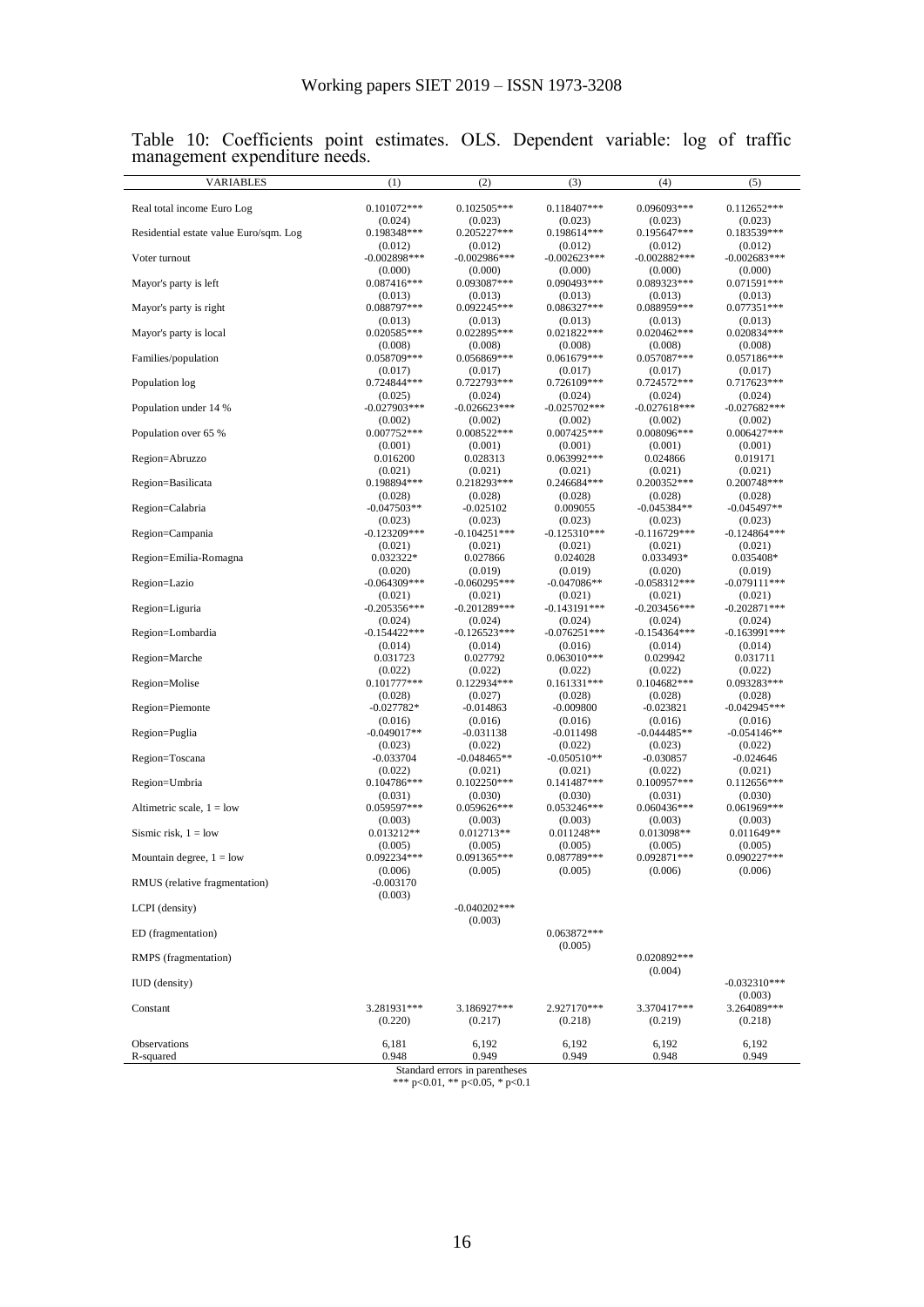| $0.101072***$<br>0.118407***<br>0.096093***<br>Real total income Euro Log<br>$0.102505***$<br>$0.112652***$<br>(0.024)<br>(0.023)<br>(0.023)<br>(0.023)<br>(0.023)<br>Residential estate value Euro/sqm. Log<br>0.198348***<br>0.205227***<br>0.198614***<br>0.195647***<br>0.183539***<br>(0.012)<br>(0.012)<br>(0.012)<br>(0.012)<br>(0.012)<br>Voter turnout<br>$-0.002898***$<br>$-0.002986***$<br>$-0.002623***$<br>$-0.002882***$<br>$-0.002683***$<br>(0.000)<br>(0.000)<br>(0.000)<br>(0.000)<br>(0.000)<br>0.087416***<br>0.093087***<br>0.090493***<br>0.089323***<br>$0.071591***$<br>Mayor's party is left<br>(0.013)<br>(0.013)<br>(0.013)<br>(0.013)<br>(0.013)<br>0.088959***<br>0.077351***<br>0.088797***<br>0.092245***<br>0.086327***<br>Mayor's party is right<br>(0.013)<br>(0.013)<br>(0.013)<br>(0.013)<br>(0.013)<br>Mayor's party is local<br>0.020585***<br>0.022895***<br>$0.021822***$<br>$0.020462***$<br>0.020834***<br>(0.008)<br>(0.008)<br>(0.008)<br>(0.008)<br>(0.008)<br>0.058709***<br>0.056869***<br>$0.061679***$<br>0.057087***<br>$0.057186***$<br>Families/population<br>(0.017)<br>(0.017)<br>(0.017)<br>(0.017)<br>(0.017)<br>0.724844***<br>0.724572***<br>0.722793***<br>0.726109***<br>$0.717623***$<br>Population log<br>(0.025)<br>(0.024)<br>(0.024)<br>(0.024)<br>(0.024)<br>$-0.027682***$<br>Population under 14 %<br>$-0.027903$ ***<br>$-0.026623***$<br>$-0.025702***$<br>$-0.027618***$<br>(0.002)<br>(0.002)<br>(0.002)<br>(0.002)<br>(0.002)<br>Population over 65 %<br>$0.007752***$<br>0.008522***<br>$0.007425***$<br>0.008096***<br>$0.006427***$<br>(0.001)<br>(0.001)<br>(0.001)<br>(0.001)<br>(0.001)<br>Region=Abruzzo<br>0.016200<br>0.028313<br>0.063992***<br>0.024866<br>0.019171<br>(0.021)<br>(0.021)<br>(0.021)<br>(0.021)<br>(0.021)<br>Region=Basilicata<br>0.198894***<br>0.218293***<br>0.246684***<br>0.200352***<br>0.200748***<br>(0.028)<br>(0.028)<br>(0.028)<br>(0.028)<br>(0.028)<br>Region=Calabria<br>$-0.047503**$<br>$-0.025102$<br>0.009055<br>$-0.045384**$<br>$-0.045497**$<br>(0.023)<br>(0.023)<br>(0.023)<br>(0.023)<br>(0.023)<br>$-0.123209$ ***<br>$-0.104251***$<br>$-0.125310***$<br>$-0.116729***$<br>$-0.124864***$<br>Region=Campania<br>(0.021)<br>(0.021)<br>(0.021)<br>(0.021)<br>(0.021)<br>0.032322*<br>0.027866<br>0.035408*<br>Region=Emilia-Romagna<br>0.024028<br>0.033493*<br>(0.020)<br>(0.019)<br>(0.019)<br>(0.020)<br>(0.019)<br>$-0.064309$ ***<br>$-0.060295***$<br>$-0.047086**$<br>$-0.058312***$<br>$-0.079111***$<br>Region=Lazio<br>(0.021)<br>(0.021)<br>(0.021)<br>(0.021)<br>(0.021)<br>Region=Liguria<br>$-0.205356***$<br>$-0.201289***$<br>-0.143191***<br>$-0.203456***$<br>$-0.202871***$<br>(0.024)<br>(0.024)<br>(0.024)<br>(0.024)<br>(0.024)<br>$-0.154422***$<br>$-0.126523***$<br>$-0.154364***$<br>$-0.163991***$<br>Region=Lombardia<br>-0.076251***<br>(0.014)<br>(0.014)<br>(0.016)<br>(0.014)<br>(0.014)<br>0.031711<br>Region=Marche<br>0.031723<br>0.027792<br>$0.063010***$<br>0.029942<br>(0.022)<br>(0.022)<br>(0.022)<br>(0.022)<br>(0.022)<br>0.122934***<br>Region=Molise<br>$0.101777***$<br>$0.161331***$<br>$0.104682***$<br>0.093283***<br>(0.028)<br>(0.027)<br>(0.028)<br>(0.028)<br>(0.028)<br>Region=Piemonte<br>$-0.027782*$<br>$-0.014863$<br>$-0.009800$<br>-0.023821<br>$-0.042945***$<br>(0.016)<br>(0.016)<br>(0.016)<br>(0.016)<br>(0.016)<br>Region=Puglia<br>$-0.049017**$<br>$-0.031138$<br>-0.011498<br>$-0.044485**$<br>$-0.054146**$<br>(0.023)<br>(0.022)<br>(0.022)<br>(0.023)<br>(0.022)<br>$-0.033704$<br>$-0.048465**$<br>$-0.050510**$<br>$-0.030857$<br>$-0.024646$<br>Region=Toscana<br>(0.022)<br>(0.021)<br>(0.021)<br>(0.022)<br>(0.021)<br>Region=Umbria<br>0.104786***<br>$0.102250***$<br>0.141487***<br>0.100957***<br>$0.112656***$<br>(0.031)<br>(0.030)<br>(0.030)<br>(0.031)<br>(0.030)<br>Altimetric scale, $1 =$ low<br>0.059597***<br>0.059626***<br>$0.053246***$<br>0.060436***<br>0.061969***<br>(0.003)<br>(0.003)<br>(0.003)<br>(0.003)<br>(0.003)<br>Sismic risk, $1 =$ low<br>0.013212**<br>0.012713**<br>$0.011248**$<br>0.013098**<br>$0.011649**$<br>(0.005)<br>(0.005)<br>(0.005)<br>(0.005)<br>(0.005)<br>0.092234***<br>0.087789***<br>0.090227***<br>$0.091365***$<br>0.092871***<br>Mountain degree, $1 =$ low<br>(0.005)<br>(0.006)<br>(0.006)<br>(0.005)<br>(0.006)<br>$-0.003170$<br>RMUS (relative fragmentation)<br>(0.003)<br>$-0.040202$ ***<br>LCPI (density)<br>(0.003)<br>ED (fragmentation)<br>$0.063872***$<br>(0.005)<br>0.020892***<br>RMPS (fragmentation)<br>(0.004)<br><b>IUD</b> (density)<br>$-0.032310***$ | (0.003)<br>3.281931***<br>2.927170***<br>3.264089***<br>Constant<br>3.186927***<br>3.370417***<br>(0.220)<br>(0.218)<br>(0.218)<br>(0.217)<br>(0.219)<br>Observations<br>6,181<br>6,192<br>6,192<br>6,192<br>6,192<br>0.948<br>0.949<br>0.949<br>R-squared<br>0.949<br>0.948 | <b>VARIABLES</b> | (1) | (2) | (3) | (4) | (5) |
|-------------------------------------------------------------------------------------------------------------------------------------------------------------------------------------------------------------------------------------------------------------------------------------------------------------------------------------------------------------------------------------------------------------------------------------------------------------------------------------------------------------------------------------------------------------------------------------------------------------------------------------------------------------------------------------------------------------------------------------------------------------------------------------------------------------------------------------------------------------------------------------------------------------------------------------------------------------------------------------------------------------------------------------------------------------------------------------------------------------------------------------------------------------------------------------------------------------------------------------------------------------------------------------------------------------------------------------------------------------------------------------------------------------------------------------------------------------------------------------------------------------------------------------------------------------------------------------------------------------------------------------------------------------------------------------------------------------------------------------------------------------------------------------------------------------------------------------------------------------------------------------------------------------------------------------------------------------------------------------------------------------------------------------------------------------------------------------------------------------------------------------------------------------------------------------------------------------------------------------------------------------------------------------------------------------------------------------------------------------------------------------------------------------------------------------------------------------------------------------------------------------------------------------------------------------------------------------------------------------------------------------------------------------------------------------------------------------------------------------------------------------------------------------------------------------------------------------------------------------------------------------------------------------------------------------------------------------------------------------------------------------------------------------------------------------------------------------------------------------------------------------------------------------------------------------------------------------------------------------------------------------------------------------------------------------------------------------------------------------------------------------------------------------------------------------------------------------------------------------------------------------------------------------------------------------------------------------------------------------------------------------------------------------------------------------------------------------------------------------------------------------------------------------------------------------------------------------------------------------------------------------------------------------------------------------------------------------------------------------------------------------------------------------------------------------------------------------------------------------------------------------------------------------------------------------------------------------------------------------------------------------------------------------------------------------------------------------------------------------------------------------------------------------------------------------------------------------------------------------------------------------------------------------------------------------------------------------------------------------------------------------------------|------------------------------------------------------------------------------------------------------------------------------------------------------------------------------------------------------------------------------------------------------------------------------|------------------|-----|-----|-----|-----|-----|
|                                                                                                                                                                                                                                                                                                                                                                                                                                                                                                                                                                                                                                                                                                                                                                                                                                                                                                                                                                                                                                                                                                                                                                                                                                                                                                                                                                                                                                                                                                                                                                                                                                                                                                                                                                                                                                                                                                                                                                                                                                                                                                                                                                                                                                                                                                                                                                                                                                                                                                                                                                                                                                                                                                                                                                                                                                                                                                                                                                                                                                                                                                                                                                                                                                                                                                                                                                                                                                                                                                                                                                                                                                                                                                                                                                                                                                                                                                                                                                                                                                                                                                                                                                                                                                                                                                                                                                                                                                                                                                                                                                                                                                                 |                                                                                                                                                                                                                                                                              |                  |     |     |     |     |     |
|                                                                                                                                                                                                                                                                                                                                                                                                                                                                                                                                                                                                                                                                                                                                                                                                                                                                                                                                                                                                                                                                                                                                                                                                                                                                                                                                                                                                                                                                                                                                                                                                                                                                                                                                                                                                                                                                                                                                                                                                                                                                                                                                                                                                                                                                                                                                                                                                                                                                                                                                                                                                                                                                                                                                                                                                                                                                                                                                                                                                                                                                                                                                                                                                                                                                                                                                                                                                                                                                                                                                                                                                                                                                                                                                                                                                                                                                                                                                                                                                                                                                                                                                                                                                                                                                                                                                                                                                                                                                                                                                                                                                                                                 |                                                                                                                                                                                                                                                                              |                  |     |     |     |     |     |
|                                                                                                                                                                                                                                                                                                                                                                                                                                                                                                                                                                                                                                                                                                                                                                                                                                                                                                                                                                                                                                                                                                                                                                                                                                                                                                                                                                                                                                                                                                                                                                                                                                                                                                                                                                                                                                                                                                                                                                                                                                                                                                                                                                                                                                                                                                                                                                                                                                                                                                                                                                                                                                                                                                                                                                                                                                                                                                                                                                                                                                                                                                                                                                                                                                                                                                                                                                                                                                                                                                                                                                                                                                                                                                                                                                                                                                                                                                                                                                                                                                                                                                                                                                                                                                                                                                                                                                                                                                                                                                                                                                                                                                                 |                                                                                                                                                                                                                                                                              |                  |     |     |     |     |     |
|                                                                                                                                                                                                                                                                                                                                                                                                                                                                                                                                                                                                                                                                                                                                                                                                                                                                                                                                                                                                                                                                                                                                                                                                                                                                                                                                                                                                                                                                                                                                                                                                                                                                                                                                                                                                                                                                                                                                                                                                                                                                                                                                                                                                                                                                                                                                                                                                                                                                                                                                                                                                                                                                                                                                                                                                                                                                                                                                                                                                                                                                                                                                                                                                                                                                                                                                                                                                                                                                                                                                                                                                                                                                                                                                                                                                                                                                                                                                                                                                                                                                                                                                                                                                                                                                                                                                                                                                                                                                                                                                                                                                                                                 |                                                                                                                                                                                                                                                                              |                  |     |     |     |     |     |
|                                                                                                                                                                                                                                                                                                                                                                                                                                                                                                                                                                                                                                                                                                                                                                                                                                                                                                                                                                                                                                                                                                                                                                                                                                                                                                                                                                                                                                                                                                                                                                                                                                                                                                                                                                                                                                                                                                                                                                                                                                                                                                                                                                                                                                                                                                                                                                                                                                                                                                                                                                                                                                                                                                                                                                                                                                                                                                                                                                                                                                                                                                                                                                                                                                                                                                                                                                                                                                                                                                                                                                                                                                                                                                                                                                                                                                                                                                                                                                                                                                                                                                                                                                                                                                                                                                                                                                                                                                                                                                                                                                                                                                                 |                                                                                                                                                                                                                                                                              |                  |     |     |     |     |     |
|                                                                                                                                                                                                                                                                                                                                                                                                                                                                                                                                                                                                                                                                                                                                                                                                                                                                                                                                                                                                                                                                                                                                                                                                                                                                                                                                                                                                                                                                                                                                                                                                                                                                                                                                                                                                                                                                                                                                                                                                                                                                                                                                                                                                                                                                                                                                                                                                                                                                                                                                                                                                                                                                                                                                                                                                                                                                                                                                                                                                                                                                                                                                                                                                                                                                                                                                                                                                                                                                                                                                                                                                                                                                                                                                                                                                                                                                                                                                                                                                                                                                                                                                                                                                                                                                                                                                                                                                                                                                                                                                                                                                                                                 |                                                                                                                                                                                                                                                                              |                  |     |     |     |     |     |
|                                                                                                                                                                                                                                                                                                                                                                                                                                                                                                                                                                                                                                                                                                                                                                                                                                                                                                                                                                                                                                                                                                                                                                                                                                                                                                                                                                                                                                                                                                                                                                                                                                                                                                                                                                                                                                                                                                                                                                                                                                                                                                                                                                                                                                                                                                                                                                                                                                                                                                                                                                                                                                                                                                                                                                                                                                                                                                                                                                                                                                                                                                                                                                                                                                                                                                                                                                                                                                                                                                                                                                                                                                                                                                                                                                                                                                                                                                                                                                                                                                                                                                                                                                                                                                                                                                                                                                                                                                                                                                                                                                                                                                                 |                                                                                                                                                                                                                                                                              |                  |     |     |     |     |     |
|                                                                                                                                                                                                                                                                                                                                                                                                                                                                                                                                                                                                                                                                                                                                                                                                                                                                                                                                                                                                                                                                                                                                                                                                                                                                                                                                                                                                                                                                                                                                                                                                                                                                                                                                                                                                                                                                                                                                                                                                                                                                                                                                                                                                                                                                                                                                                                                                                                                                                                                                                                                                                                                                                                                                                                                                                                                                                                                                                                                                                                                                                                                                                                                                                                                                                                                                                                                                                                                                                                                                                                                                                                                                                                                                                                                                                                                                                                                                                                                                                                                                                                                                                                                                                                                                                                                                                                                                                                                                                                                                                                                                                                                 |                                                                                                                                                                                                                                                                              |                  |     |     |     |     |     |
|                                                                                                                                                                                                                                                                                                                                                                                                                                                                                                                                                                                                                                                                                                                                                                                                                                                                                                                                                                                                                                                                                                                                                                                                                                                                                                                                                                                                                                                                                                                                                                                                                                                                                                                                                                                                                                                                                                                                                                                                                                                                                                                                                                                                                                                                                                                                                                                                                                                                                                                                                                                                                                                                                                                                                                                                                                                                                                                                                                                                                                                                                                                                                                                                                                                                                                                                                                                                                                                                                                                                                                                                                                                                                                                                                                                                                                                                                                                                                                                                                                                                                                                                                                                                                                                                                                                                                                                                                                                                                                                                                                                                                                                 |                                                                                                                                                                                                                                                                              |                  |     |     |     |     |     |
|                                                                                                                                                                                                                                                                                                                                                                                                                                                                                                                                                                                                                                                                                                                                                                                                                                                                                                                                                                                                                                                                                                                                                                                                                                                                                                                                                                                                                                                                                                                                                                                                                                                                                                                                                                                                                                                                                                                                                                                                                                                                                                                                                                                                                                                                                                                                                                                                                                                                                                                                                                                                                                                                                                                                                                                                                                                                                                                                                                                                                                                                                                                                                                                                                                                                                                                                                                                                                                                                                                                                                                                                                                                                                                                                                                                                                                                                                                                                                                                                                                                                                                                                                                                                                                                                                                                                                                                                                                                                                                                                                                                                                                                 |                                                                                                                                                                                                                                                                              |                  |     |     |     |     |     |
|                                                                                                                                                                                                                                                                                                                                                                                                                                                                                                                                                                                                                                                                                                                                                                                                                                                                                                                                                                                                                                                                                                                                                                                                                                                                                                                                                                                                                                                                                                                                                                                                                                                                                                                                                                                                                                                                                                                                                                                                                                                                                                                                                                                                                                                                                                                                                                                                                                                                                                                                                                                                                                                                                                                                                                                                                                                                                                                                                                                                                                                                                                                                                                                                                                                                                                                                                                                                                                                                                                                                                                                                                                                                                                                                                                                                                                                                                                                                                                                                                                                                                                                                                                                                                                                                                                                                                                                                                                                                                                                                                                                                                                                 |                                                                                                                                                                                                                                                                              |                  |     |     |     |     |     |
|                                                                                                                                                                                                                                                                                                                                                                                                                                                                                                                                                                                                                                                                                                                                                                                                                                                                                                                                                                                                                                                                                                                                                                                                                                                                                                                                                                                                                                                                                                                                                                                                                                                                                                                                                                                                                                                                                                                                                                                                                                                                                                                                                                                                                                                                                                                                                                                                                                                                                                                                                                                                                                                                                                                                                                                                                                                                                                                                                                                                                                                                                                                                                                                                                                                                                                                                                                                                                                                                                                                                                                                                                                                                                                                                                                                                                                                                                                                                                                                                                                                                                                                                                                                                                                                                                                                                                                                                                                                                                                                                                                                                                                                 |                                                                                                                                                                                                                                                                              |                  |     |     |     |     |     |
|                                                                                                                                                                                                                                                                                                                                                                                                                                                                                                                                                                                                                                                                                                                                                                                                                                                                                                                                                                                                                                                                                                                                                                                                                                                                                                                                                                                                                                                                                                                                                                                                                                                                                                                                                                                                                                                                                                                                                                                                                                                                                                                                                                                                                                                                                                                                                                                                                                                                                                                                                                                                                                                                                                                                                                                                                                                                                                                                                                                                                                                                                                                                                                                                                                                                                                                                                                                                                                                                                                                                                                                                                                                                                                                                                                                                                                                                                                                                                                                                                                                                                                                                                                                                                                                                                                                                                                                                                                                                                                                                                                                                                                                 |                                                                                                                                                                                                                                                                              |                  |     |     |     |     |     |
|                                                                                                                                                                                                                                                                                                                                                                                                                                                                                                                                                                                                                                                                                                                                                                                                                                                                                                                                                                                                                                                                                                                                                                                                                                                                                                                                                                                                                                                                                                                                                                                                                                                                                                                                                                                                                                                                                                                                                                                                                                                                                                                                                                                                                                                                                                                                                                                                                                                                                                                                                                                                                                                                                                                                                                                                                                                                                                                                                                                                                                                                                                                                                                                                                                                                                                                                                                                                                                                                                                                                                                                                                                                                                                                                                                                                                                                                                                                                                                                                                                                                                                                                                                                                                                                                                                                                                                                                                                                                                                                                                                                                                                                 |                                                                                                                                                                                                                                                                              |                  |     |     |     |     |     |
|                                                                                                                                                                                                                                                                                                                                                                                                                                                                                                                                                                                                                                                                                                                                                                                                                                                                                                                                                                                                                                                                                                                                                                                                                                                                                                                                                                                                                                                                                                                                                                                                                                                                                                                                                                                                                                                                                                                                                                                                                                                                                                                                                                                                                                                                                                                                                                                                                                                                                                                                                                                                                                                                                                                                                                                                                                                                                                                                                                                                                                                                                                                                                                                                                                                                                                                                                                                                                                                                                                                                                                                                                                                                                                                                                                                                                                                                                                                                                                                                                                                                                                                                                                                                                                                                                                                                                                                                                                                                                                                                                                                                                                                 |                                                                                                                                                                                                                                                                              |                  |     |     |     |     |     |
|                                                                                                                                                                                                                                                                                                                                                                                                                                                                                                                                                                                                                                                                                                                                                                                                                                                                                                                                                                                                                                                                                                                                                                                                                                                                                                                                                                                                                                                                                                                                                                                                                                                                                                                                                                                                                                                                                                                                                                                                                                                                                                                                                                                                                                                                                                                                                                                                                                                                                                                                                                                                                                                                                                                                                                                                                                                                                                                                                                                                                                                                                                                                                                                                                                                                                                                                                                                                                                                                                                                                                                                                                                                                                                                                                                                                                                                                                                                                                                                                                                                                                                                                                                                                                                                                                                                                                                                                                                                                                                                                                                                                                                                 |                                                                                                                                                                                                                                                                              |                  |     |     |     |     |     |
|                                                                                                                                                                                                                                                                                                                                                                                                                                                                                                                                                                                                                                                                                                                                                                                                                                                                                                                                                                                                                                                                                                                                                                                                                                                                                                                                                                                                                                                                                                                                                                                                                                                                                                                                                                                                                                                                                                                                                                                                                                                                                                                                                                                                                                                                                                                                                                                                                                                                                                                                                                                                                                                                                                                                                                                                                                                                                                                                                                                                                                                                                                                                                                                                                                                                                                                                                                                                                                                                                                                                                                                                                                                                                                                                                                                                                                                                                                                                                                                                                                                                                                                                                                                                                                                                                                                                                                                                                                                                                                                                                                                                                                                 |                                                                                                                                                                                                                                                                              |                  |     |     |     |     |     |
|                                                                                                                                                                                                                                                                                                                                                                                                                                                                                                                                                                                                                                                                                                                                                                                                                                                                                                                                                                                                                                                                                                                                                                                                                                                                                                                                                                                                                                                                                                                                                                                                                                                                                                                                                                                                                                                                                                                                                                                                                                                                                                                                                                                                                                                                                                                                                                                                                                                                                                                                                                                                                                                                                                                                                                                                                                                                                                                                                                                                                                                                                                                                                                                                                                                                                                                                                                                                                                                                                                                                                                                                                                                                                                                                                                                                                                                                                                                                                                                                                                                                                                                                                                                                                                                                                                                                                                                                                                                                                                                                                                                                                                                 |                                                                                                                                                                                                                                                                              |                  |     |     |     |     |     |
|                                                                                                                                                                                                                                                                                                                                                                                                                                                                                                                                                                                                                                                                                                                                                                                                                                                                                                                                                                                                                                                                                                                                                                                                                                                                                                                                                                                                                                                                                                                                                                                                                                                                                                                                                                                                                                                                                                                                                                                                                                                                                                                                                                                                                                                                                                                                                                                                                                                                                                                                                                                                                                                                                                                                                                                                                                                                                                                                                                                                                                                                                                                                                                                                                                                                                                                                                                                                                                                                                                                                                                                                                                                                                                                                                                                                                                                                                                                                                                                                                                                                                                                                                                                                                                                                                                                                                                                                                                                                                                                                                                                                                                                 |                                                                                                                                                                                                                                                                              |                  |     |     |     |     |     |
|                                                                                                                                                                                                                                                                                                                                                                                                                                                                                                                                                                                                                                                                                                                                                                                                                                                                                                                                                                                                                                                                                                                                                                                                                                                                                                                                                                                                                                                                                                                                                                                                                                                                                                                                                                                                                                                                                                                                                                                                                                                                                                                                                                                                                                                                                                                                                                                                                                                                                                                                                                                                                                                                                                                                                                                                                                                                                                                                                                                                                                                                                                                                                                                                                                                                                                                                                                                                                                                                                                                                                                                                                                                                                                                                                                                                                                                                                                                                                                                                                                                                                                                                                                                                                                                                                                                                                                                                                                                                                                                                                                                                                                                 |                                                                                                                                                                                                                                                                              |                  |     |     |     |     |     |
|                                                                                                                                                                                                                                                                                                                                                                                                                                                                                                                                                                                                                                                                                                                                                                                                                                                                                                                                                                                                                                                                                                                                                                                                                                                                                                                                                                                                                                                                                                                                                                                                                                                                                                                                                                                                                                                                                                                                                                                                                                                                                                                                                                                                                                                                                                                                                                                                                                                                                                                                                                                                                                                                                                                                                                                                                                                                                                                                                                                                                                                                                                                                                                                                                                                                                                                                                                                                                                                                                                                                                                                                                                                                                                                                                                                                                                                                                                                                                                                                                                                                                                                                                                                                                                                                                                                                                                                                                                                                                                                                                                                                                                                 |                                                                                                                                                                                                                                                                              |                  |     |     |     |     |     |
|                                                                                                                                                                                                                                                                                                                                                                                                                                                                                                                                                                                                                                                                                                                                                                                                                                                                                                                                                                                                                                                                                                                                                                                                                                                                                                                                                                                                                                                                                                                                                                                                                                                                                                                                                                                                                                                                                                                                                                                                                                                                                                                                                                                                                                                                                                                                                                                                                                                                                                                                                                                                                                                                                                                                                                                                                                                                                                                                                                                                                                                                                                                                                                                                                                                                                                                                                                                                                                                                                                                                                                                                                                                                                                                                                                                                                                                                                                                                                                                                                                                                                                                                                                                                                                                                                                                                                                                                                                                                                                                                                                                                                                                 |                                                                                                                                                                                                                                                                              |                  |     |     |     |     |     |
|                                                                                                                                                                                                                                                                                                                                                                                                                                                                                                                                                                                                                                                                                                                                                                                                                                                                                                                                                                                                                                                                                                                                                                                                                                                                                                                                                                                                                                                                                                                                                                                                                                                                                                                                                                                                                                                                                                                                                                                                                                                                                                                                                                                                                                                                                                                                                                                                                                                                                                                                                                                                                                                                                                                                                                                                                                                                                                                                                                                                                                                                                                                                                                                                                                                                                                                                                                                                                                                                                                                                                                                                                                                                                                                                                                                                                                                                                                                                                                                                                                                                                                                                                                                                                                                                                                                                                                                                                                                                                                                                                                                                                                                 |                                                                                                                                                                                                                                                                              |                  |     |     |     |     |     |
|                                                                                                                                                                                                                                                                                                                                                                                                                                                                                                                                                                                                                                                                                                                                                                                                                                                                                                                                                                                                                                                                                                                                                                                                                                                                                                                                                                                                                                                                                                                                                                                                                                                                                                                                                                                                                                                                                                                                                                                                                                                                                                                                                                                                                                                                                                                                                                                                                                                                                                                                                                                                                                                                                                                                                                                                                                                                                                                                                                                                                                                                                                                                                                                                                                                                                                                                                                                                                                                                                                                                                                                                                                                                                                                                                                                                                                                                                                                                                                                                                                                                                                                                                                                                                                                                                                                                                                                                                                                                                                                                                                                                                                                 |                                                                                                                                                                                                                                                                              |                  |     |     |     |     |     |
|                                                                                                                                                                                                                                                                                                                                                                                                                                                                                                                                                                                                                                                                                                                                                                                                                                                                                                                                                                                                                                                                                                                                                                                                                                                                                                                                                                                                                                                                                                                                                                                                                                                                                                                                                                                                                                                                                                                                                                                                                                                                                                                                                                                                                                                                                                                                                                                                                                                                                                                                                                                                                                                                                                                                                                                                                                                                                                                                                                                                                                                                                                                                                                                                                                                                                                                                                                                                                                                                                                                                                                                                                                                                                                                                                                                                                                                                                                                                                                                                                                                                                                                                                                                                                                                                                                                                                                                                                                                                                                                                                                                                                                                 |                                                                                                                                                                                                                                                                              |                  |     |     |     |     |     |
|                                                                                                                                                                                                                                                                                                                                                                                                                                                                                                                                                                                                                                                                                                                                                                                                                                                                                                                                                                                                                                                                                                                                                                                                                                                                                                                                                                                                                                                                                                                                                                                                                                                                                                                                                                                                                                                                                                                                                                                                                                                                                                                                                                                                                                                                                                                                                                                                                                                                                                                                                                                                                                                                                                                                                                                                                                                                                                                                                                                                                                                                                                                                                                                                                                                                                                                                                                                                                                                                                                                                                                                                                                                                                                                                                                                                                                                                                                                                                                                                                                                                                                                                                                                                                                                                                                                                                                                                                                                                                                                                                                                                                                                 |                                                                                                                                                                                                                                                                              |                  |     |     |     |     |     |
|                                                                                                                                                                                                                                                                                                                                                                                                                                                                                                                                                                                                                                                                                                                                                                                                                                                                                                                                                                                                                                                                                                                                                                                                                                                                                                                                                                                                                                                                                                                                                                                                                                                                                                                                                                                                                                                                                                                                                                                                                                                                                                                                                                                                                                                                                                                                                                                                                                                                                                                                                                                                                                                                                                                                                                                                                                                                                                                                                                                                                                                                                                                                                                                                                                                                                                                                                                                                                                                                                                                                                                                                                                                                                                                                                                                                                                                                                                                                                                                                                                                                                                                                                                                                                                                                                                                                                                                                                                                                                                                                                                                                                                                 |                                                                                                                                                                                                                                                                              |                  |     |     |     |     |     |
|                                                                                                                                                                                                                                                                                                                                                                                                                                                                                                                                                                                                                                                                                                                                                                                                                                                                                                                                                                                                                                                                                                                                                                                                                                                                                                                                                                                                                                                                                                                                                                                                                                                                                                                                                                                                                                                                                                                                                                                                                                                                                                                                                                                                                                                                                                                                                                                                                                                                                                                                                                                                                                                                                                                                                                                                                                                                                                                                                                                                                                                                                                                                                                                                                                                                                                                                                                                                                                                                                                                                                                                                                                                                                                                                                                                                                                                                                                                                                                                                                                                                                                                                                                                                                                                                                                                                                                                                                                                                                                                                                                                                                                                 |                                                                                                                                                                                                                                                                              |                  |     |     |     |     |     |
|                                                                                                                                                                                                                                                                                                                                                                                                                                                                                                                                                                                                                                                                                                                                                                                                                                                                                                                                                                                                                                                                                                                                                                                                                                                                                                                                                                                                                                                                                                                                                                                                                                                                                                                                                                                                                                                                                                                                                                                                                                                                                                                                                                                                                                                                                                                                                                                                                                                                                                                                                                                                                                                                                                                                                                                                                                                                                                                                                                                                                                                                                                                                                                                                                                                                                                                                                                                                                                                                                                                                                                                                                                                                                                                                                                                                                                                                                                                                                                                                                                                                                                                                                                                                                                                                                                                                                                                                                                                                                                                                                                                                                                                 |                                                                                                                                                                                                                                                                              |                  |     |     |     |     |     |
|                                                                                                                                                                                                                                                                                                                                                                                                                                                                                                                                                                                                                                                                                                                                                                                                                                                                                                                                                                                                                                                                                                                                                                                                                                                                                                                                                                                                                                                                                                                                                                                                                                                                                                                                                                                                                                                                                                                                                                                                                                                                                                                                                                                                                                                                                                                                                                                                                                                                                                                                                                                                                                                                                                                                                                                                                                                                                                                                                                                                                                                                                                                                                                                                                                                                                                                                                                                                                                                                                                                                                                                                                                                                                                                                                                                                                                                                                                                                                                                                                                                                                                                                                                                                                                                                                                                                                                                                                                                                                                                                                                                                                                                 |                                                                                                                                                                                                                                                                              |                  |     |     |     |     |     |
|                                                                                                                                                                                                                                                                                                                                                                                                                                                                                                                                                                                                                                                                                                                                                                                                                                                                                                                                                                                                                                                                                                                                                                                                                                                                                                                                                                                                                                                                                                                                                                                                                                                                                                                                                                                                                                                                                                                                                                                                                                                                                                                                                                                                                                                                                                                                                                                                                                                                                                                                                                                                                                                                                                                                                                                                                                                                                                                                                                                                                                                                                                                                                                                                                                                                                                                                                                                                                                                                                                                                                                                                                                                                                                                                                                                                                                                                                                                                                                                                                                                                                                                                                                                                                                                                                                                                                                                                                                                                                                                                                                                                                                                 |                                                                                                                                                                                                                                                                              |                  |     |     |     |     |     |
|                                                                                                                                                                                                                                                                                                                                                                                                                                                                                                                                                                                                                                                                                                                                                                                                                                                                                                                                                                                                                                                                                                                                                                                                                                                                                                                                                                                                                                                                                                                                                                                                                                                                                                                                                                                                                                                                                                                                                                                                                                                                                                                                                                                                                                                                                                                                                                                                                                                                                                                                                                                                                                                                                                                                                                                                                                                                                                                                                                                                                                                                                                                                                                                                                                                                                                                                                                                                                                                                                                                                                                                                                                                                                                                                                                                                                                                                                                                                                                                                                                                                                                                                                                                                                                                                                                                                                                                                                                                                                                                                                                                                                                                 |                                                                                                                                                                                                                                                                              |                  |     |     |     |     |     |
|                                                                                                                                                                                                                                                                                                                                                                                                                                                                                                                                                                                                                                                                                                                                                                                                                                                                                                                                                                                                                                                                                                                                                                                                                                                                                                                                                                                                                                                                                                                                                                                                                                                                                                                                                                                                                                                                                                                                                                                                                                                                                                                                                                                                                                                                                                                                                                                                                                                                                                                                                                                                                                                                                                                                                                                                                                                                                                                                                                                                                                                                                                                                                                                                                                                                                                                                                                                                                                                                                                                                                                                                                                                                                                                                                                                                                                                                                                                                                                                                                                                                                                                                                                                                                                                                                                                                                                                                                                                                                                                                                                                                                                                 |                                                                                                                                                                                                                                                                              |                  |     |     |     |     |     |
|                                                                                                                                                                                                                                                                                                                                                                                                                                                                                                                                                                                                                                                                                                                                                                                                                                                                                                                                                                                                                                                                                                                                                                                                                                                                                                                                                                                                                                                                                                                                                                                                                                                                                                                                                                                                                                                                                                                                                                                                                                                                                                                                                                                                                                                                                                                                                                                                                                                                                                                                                                                                                                                                                                                                                                                                                                                                                                                                                                                                                                                                                                                                                                                                                                                                                                                                                                                                                                                                                                                                                                                                                                                                                                                                                                                                                                                                                                                                                                                                                                                                                                                                                                                                                                                                                                                                                                                                                                                                                                                                                                                                                                                 |                                                                                                                                                                                                                                                                              |                  |     |     |     |     |     |
|                                                                                                                                                                                                                                                                                                                                                                                                                                                                                                                                                                                                                                                                                                                                                                                                                                                                                                                                                                                                                                                                                                                                                                                                                                                                                                                                                                                                                                                                                                                                                                                                                                                                                                                                                                                                                                                                                                                                                                                                                                                                                                                                                                                                                                                                                                                                                                                                                                                                                                                                                                                                                                                                                                                                                                                                                                                                                                                                                                                                                                                                                                                                                                                                                                                                                                                                                                                                                                                                                                                                                                                                                                                                                                                                                                                                                                                                                                                                                                                                                                                                                                                                                                                                                                                                                                                                                                                                                                                                                                                                                                                                                                                 |                                                                                                                                                                                                                                                                              |                  |     |     |     |     |     |
|                                                                                                                                                                                                                                                                                                                                                                                                                                                                                                                                                                                                                                                                                                                                                                                                                                                                                                                                                                                                                                                                                                                                                                                                                                                                                                                                                                                                                                                                                                                                                                                                                                                                                                                                                                                                                                                                                                                                                                                                                                                                                                                                                                                                                                                                                                                                                                                                                                                                                                                                                                                                                                                                                                                                                                                                                                                                                                                                                                                                                                                                                                                                                                                                                                                                                                                                                                                                                                                                                                                                                                                                                                                                                                                                                                                                                                                                                                                                                                                                                                                                                                                                                                                                                                                                                                                                                                                                                                                                                                                                                                                                                                                 |                                                                                                                                                                                                                                                                              |                  |     |     |     |     |     |
|                                                                                                                                                                                                                                                                                                                                                                                                                                                                                                                                                                                                                                                                                                                                                                                                                                                                                                                                                                                                                                                                                                                                                                                                                                                                                                                                                                                                                                                                                                                                                                                                                                                                                                                                                                                                                                                                                                                                                                                                                                                                                                                                                                                                                                                                                                                                                                                                                                                                                                                                                                                                                                                                                                                                                                                                                                                                                                                                                                                                                                                                                                                                                                                                                                                                                                                                                                                                                                                                                                                                                                                                                                                                                                                                                                                                                                                                                                                                                                                                                                                                                                                                                                                                                                                                                                                                                                                                                                                                                                                                                                                                                                                 |                                                                                                                                                                                                                                                                              |                  |     |     |     |     |     |
|                                                                                                                                                                                                                                                                                                                                                                                                                                                                                                                                                                                                                                                                                                                                                                                                                                                                                                                                                                                                                                                                                                                                                                                                                                                                                                                                                                                                                                                                                                                                                                                                                                                                                                                                                                                                                                                                                                                                                                                                                                                                                                                                                                                                                                                                                                                                                                                                                                                                                                                                                                                                                                                                                                                                                                                                                                                                                                                                                                                                                                                                                                                                                                                                                                                                                                                                                                                                                                                                                                                                                                                                                                                                                                                                                                                                                                                                                                                                                                                                                                                                                                                                                                                                                                                                                                                                                                                                                                                                                                                                                                                                                                                 |                                                                                                                                                                                                                                                                              |                  |     |     |     |     |     |
|                                                                                                                                                                                                                                                                                                                                                                                                                                                                                                                                                                                                                                                                                                                                                                                                                                                                                                                                                                                                                                                                                                                                                                                                                                                                                                                                                                                                                                                                                                                                                                                                                                                                                                                                                                                                                                                                                                                                                                                                                                                                                                                                                                                                                                                                                                                                                                                                                                                                                                                                                                                                                                                                                                                                                                                                                                                                                                                                                                                                                                                                                                                                                                                                                                                                                                                                                                                                                                                                                                                                                                                                                                                                                                                                                                                                                                                                                                                                                                                                                                                                                                                                                                                                                                                                                                                                                                                                                                                                                                                                                                                                                                                 |                                                                                                                                                                                                                                                                              |                  |     |     |     |     |     |
|                                                                                                                                                                                                                                                                                                                                                                                                                                                                                                                                                                                                                                                                                                                                                                                                                                                                                                                                                                                                                                                                                                                                                                                                                                                                                                                                                                                                                                                                                                                                                                                                                                                                                                                                                                                                                                                                                                                                                                                                                                                                                                                                                                                                                                                                                                                                                                                                                                                                                                                                                                                                                                                                                                                                                                                                                                                                                                                                                                                                                                                                                                                                                                                                                                                                                                                                                                                                                                                                                                                                                                                                                                                                                                                                                                                                                                                                                                                                                                                                                                                                                                                                                                                                                                                                                                                                                                                                                                                                                                                                                                                                                                                 |                                                                                                                                                                                                                                                                              |                  |     |     |     |     |     |
|                                                                                                                                                                                                                                                                                                                                                                                                                                                                                                                                                                                                                                                                                                                                                                                                                                                                                                                                                                                                                                                                                                                                                                                                                                                                                                                                                                                                                                                                                                                                                                                                                                                                                                                                                                                                                                                                                                                                                                                                                                                                                                                                                                                                                                                                                                                                                                                                                                                                                                                                                                                                                                                                                                                                                                                                                                                                                                                                                                                                                                                                                                                                                                                                                                                                                                                                                                                                                                                                                                                                                                                                                                                                                                                                                                                                                                                                                                                                                                                                                                                                                                                                                                                                                                                                                                                                                                                                                                                                                                                                                                                                                                                 |                                                                                                                                                                                                                                                                              |                  |     |     |     |     |     |
|                                                                                                                                                                                                                                                                                                                                                                                                                                                                                                                                                                                                                                                                                                                                                                                                                                                                                                                                                                                                                                                                                                                                                                                                                                                                                                                                                                                                                                                                                                                                                                                                                                                                                                                                                                                                                                                                                                                                                                                                                                                                                                                                                                                                                                                                                                                                                                                                                                                                                                                                                                                                                                                                                                                                                                                                                                                                                                                                                                                                                                                                                                                                                                                                                                                                                                                                                                                                                                                                                                                                                                                                                                                                                                                                                                                                                                                                                                                                                                                                                                                                                                                                                                                                                                                                                                                                                                                                                                                                                                                                                                                                                                                 |                                                                                                                                                                                                                                                                              |                  |     |     |     |     |     |
|                                                                                                                                                                                                                                                                                                                                                                                                                                                                                                                                                                                                                                                                                                                                                                                                                                                                                                                                                                                                                                                                                                                                                                                                                                                                                                                                                                                                                                                                                                                                                                                                                                                                                                                                                                                                                                                                                                                                                                                                                                                                                                                                                                                                                                                                                                                                                                                                                                                                                                                                                                                                                                                                                                                                                                                                                                                                                                                                                                                                                                                                                                                                                                                                                                                                                                                                                                                                                                                                                                                                                                                                                                                                                                                                                                                                                                                                                                                                                                                                                                                                                                                                                                                                                                                                                                                                                                                                                                                                                                                                                                                                                                                 |                                                                                                                                                                                                                                                                              |                  |     |     |     |     |     |
|                                                                                                                                                                                                                                                                                                                                                                                                                                                                                                                                                                                                                                                                                                                                                                                                                                                                                                                                                                                                                                                                                                                                                                                                                                                                                                                                                                                                                                                                                                                                                                                                                                                                                                                                                                                                                                                                                                                                                                                                                                                                                                                                                                                                                                                                                                                                                                                                                                                                                                                                                                                                                                                                                                                                                                                                                                                                                                                                                                                                                                                                                                                                                                                                                                                                                                                                                                                                                                                                                                                                                                                                                                                                                                                                                                                                                                                                                                                                                                                                                                                                                                                                                                                                                                                                                                                                                                                                                                                                                                                                                                                                                                                 |                                                                                                                                                                                                                                                                              |                  |     |     |     |     |     |
|                                                                                                                                                                                                                                                                                                                                                                                                                                                                                                                                                                                                                                                                                                                                                                                                                                                                                                                                                                                                                                                                                                                                                                                                                                                                                                                                                                                                                                                                                                                                                                                                                                                                                                                                                                                                                                                                                                                                                                                                                                                                                                                                                                                                                                                                                                                                                                                                                                                                                                                                                                                                                                                                                                                                                                                                                                                                                                                                                                                                                                                                                                                                                                                                                                                                                                                                                                                                                                                                                                                                                                                                                                                                                                                                                                                                                                                                                                                                                                                                                                                                                                                                                                                                                                                                                                                                                                                                                                                                                                                                                                                                                                                 |                                                                                                                                                                                                                                                                              |                  |     |     |     |     |     |
|                                                                                                                                                                                                                                                                                                                                                                                                                                                                                                                                                                                                                                                                                                                                                                                                                                                                                                                                                                                                                                                                                                                                                                                                                                                                                                                                                                                                                                                                                                                                                                                                                                                                                                                                                                                                                                                                                                                                                                                                                                                                                                                                                                                                                                                                                                                                                                                                                                                                                                                                                                                                                                                                                                                                                                                                                                                                                                                                                                                                                                                                                                                                                                                                                                                                                                                                                                                                                                                                                                                                                                                                                                                                                                                                                                                                                                                                                                                                                                                                                                                                                                                                                                                                                                                                                                                                                                                                                                                                                                                                                                                                                                                 |                                                                                                                                                                                                                                                                              |                  |     |     |     |     |     |
|                                                                                                                                                                                                                                                                                                                                                                                                                                                                                                                                                                                                                                                                                                                                                                                                                                                                                                                                                                                                                                                                                                                                                                                                                                                                                                                                                                                                                                                                                                                                                                                                                                                                                                                                                                                                                                                                                                                                                                                                                                                                                                                                                                                                                                                                                                                                                                                                                                                                                                                                                                                                                                                                                                                                                                                                                                                                                                                                                                                                                                                                                                                                                                                                                                                                                                                                                                                                                                                                                                                                                                                                                                                                                                                                                                                                                                                                                                                                                                                                                                                                                                                                                                                                                                                                                                                                                                                                                                                                                                                                                                                                                                                 |                                                                                                                                                                                                                                                                              |                  |     |     |     |     |     |
|                                                                                                                                                                                                                                                                                                                                                                                                                                                                                                                                                                                                                                                                                                                                                                                                                                                                                                                                                                                                                                                                                                                                                                                                                                                                                                                                                                                                                                                                                                                                                                                                                                                                                                                                                                                                                                                                                                                                                                                                                                                                                                                                                                                                                                                                                                                                                                                                                                                                                                                                                                                                                                                                                                                                                                                                                                                                                                                                                                                                                                                                                                                                                                                                                                                                                                                                                                                                                                                                                                                                                                                                                                                                                                                                                                                                                                                                                                                                                                                                                                                                                                                                                                                                                                                                                                                                                                                                                                                                                                                                                                                                                                                 |                                                                                                                                                                                                                                                                              |                  |     |     |     |     |     |
|                                                                                                                                                                                                                                                                                                                                                                                                                                                                                                                                                                                                                                                                                                                                                                                                                                                                                                                                                                                                                                                                                                                                                                                                                                                                                                                                                                                                                                                                                                                                                                                                                                                                                                                                                                                                                                                                                                                                                                                                                                                                                                                                                                                                                                                                                                                                                                                                                                                                                                                                                                                                                                                                                                                                                                                                                                                                                                                                                                                                                                                                                                                                                                                                                                                                                                                                                                                                                                                                                                                                                                                                                                                                                                                                                                                                                                                                                                                                                                                                                                                                                                                                                                                                                                                                                                                                                                                                                                                                                                                                                                                                                                                 |                                                                                                                                                                                                                                                                              |                  |     |     |     |     |     |
|                                                                                                                                                                                                                                                                                                                                                                                                                                                                                                                                                                                                                                                                                                                                                                                                                                                                                                                                                                                                                                                                                                                                                                                                                                                                                                                                                                                                                                                                                                                                                                                                                                                                                                                                                                                                                                                                                                                                                                                                                                                                                                                                                                                                                                                                                                                                                                                                                                                                                                                                                                                                                                                                                                                                                                                                                                                                                                                                                                                                                                                                                                                                                                                                                                                                                                                                                                                                                                                                                                                                                                                                                                                                                                                                                                                                                                                                                                                                                                                                                                                                                                                                                                                                                                                                                                                                                                                                                                                                                                                                                                                                                                                 |                                                                                                                                                                                                                                                                              |                  |     |     |     |     |     |
|                                                                                                                                                                                                                                                                                                                                                                                                                                                                                                                                                                                                                                                                                                                                                                                                                                                                                                                                                                                                                                                                                                                                                                                                                                                                                                                                                                                                                                                                                                                                                                                                                                                                                                                                                                                                                                                                                                                                                                                                                                                                                                                                                                                                                                                                                                                                                                                                                                                                                                                                                                                                                                                                                                                                                                                                                                                                                                                                                                                                                                                                                                                                                                                                                                                                                                                                                                                                                                                                                                                                                                                                                                                                                                                                                                                                                                                                                                                                                                                                                                                                                                                                                                                                                                                                                                                                                                                                                                                                                                                                                                                                                                                 |                                                                                                                                                                                                                                                                              |                  |     |     |     |     |     |
|                                                                                                                                                                                                                                                                                                                                                                                                                                                                                                                                                                                                                                                                                                                                                                                                                                                                                                                                                                                                                                                                                                                                                                                                                                                                                                                                                                                                                                                                                                                                                                                                                                                                                                                                                                                                                                                                                                                                                                                                                                                                                                                                                                                                                                                                                                                                                                                                                                                                                                                                                                                                                                                                                                                                                                                                                                                                                                                                                                                                                                                                                                                                                                                                                                                                                                                                                                                                                                                                                                                                                                                                                                                                                                                                                                                                                                                                                                                                                                                                                                                                                                                                                                                                                                                                                                                                                                                                                                                                                                                                                                                                                                                 |                                                                                                                                                                                                                                                                              |                  |     |     |     |     |     |
|                                                                                                                                                                                                                                                                                                                                                                                                                                                                                                                                                                                                                                                                                                                                                                                                                                                                                                                                                                                                                                                                                                                                                                                                                                                                                                                                                                                                                                                                                                                                                                                                                                                                                                                                                                                                                                                                                                                                                                                                                                                                                                                                                                                                                                                                                                                                                                                                                                                                                                                                                                                                                                                                                                                                                                                                                                                                                                                                                                                                                                                                                                                                                                                                                                                                                                                                                                                                                                                                                                                                                                                                                                                                                                                                                                                                                                                                                                                                                                                                                                                                                                                                                                                                                                                                                                                                                                                                                                                                                                                                                                                                                                                 |                                                                                                                                                                                                                                                                              |                  |     |     |     |     |     |
|                                                                                                                                                                                                                                                                                                                                                                                                                                                                                                                                                                                                                                                                                                                                                                                                                                                                                                                                                                                                                                                                                                                                                                                                                                                                                                                                                                                                                                                                                                                                                                                                                                                                                                                                                                                                                                                                                                                                                                                                                                                                                                                                                                                                                                                                                                                                                                                                                                                                                                                                                                                                                                                                                                                                                                                                                                                                                                                                                                                                                                                                                                                                                                                                                                                                                                                                                                                                                                                                                                                                                                                                                                                                                                                                                                                                                                                                                                                                                                                                                                                                                                                                                                                                                                                                                                                                                                                                                                                                                                                                                                                                                                                 |                                                                                                                                                                                                                                                                              |                  |     |     |     |     |     |
|                                                                                                                                                                                                                                                                                                                                                                                                                                                                                                                                                                                                                                                                                                                                                                                                                                                                                                                                                                                                                                                                                                                                                                                                                                                                                                                                                                                                                                                                                                                                                                                                                                                                                                                                                                                                                                                                                                                                                                                                                                                                                                                                                                                                                                                                                                                                                                                                                                                                                                                                                                                                                                                                                                                                                                                                                                                                                                                                                                                                                                                                                                                                                                                                                                                                                                                                                                                                                                                                                                                                                                                                                                                                                                                                                                                                                                                                                                                                                                                                                                                                                                                                                                                                                                                                                                                                                                                                                                                                                                                                                                                                                                                 |                                                                                                                                                                                                                                                                              |                  |     |     |     |     |     |
|                                                                                                                                                                                                                                                                                                                                                                                                                                                                                                                                                                                                                                                                                                                                                                                                                                                                                                                                                                                                                                                                                                                                                                                                                                                                                                                                                                                                                                                                                                                                                                                                                                                                                                                                                                                                                                                                                                                                                                                                                                                                                                                                                                                                                                                                                                                                                                                                                                                                                                                                                                                                                                                                                                                                                                                                                                                                                                                                                                                                                                                                                                                                                                                                                                                                                                                                                                                                                                                                                                                                                                                                                                                                                                                                                                                                                                                                                                                                                                                                                                                                                                                                                                                                                                                                                                                                                                                                                                                                                                                                                                                                                                                 |                                                                                                                                                                                                                                                                              |                  |     |     |     |     |     |
|                                                                                                                                                                                                                                                                                                                                                                                                                                                                                                                                                                                                                                                                                                                                                                                                                                                                                                                                                                                                                                                                                                                                                                                                                                                                                                                                                                                                                                                                                                                                                                                                                                                                                                                                                                                                                                                                                                                                                                                                                                                                                                                                                                                                                                                                                                                                                                                                                                                                                                                                                                                                                                                                                                                                                                                                                                                                                                                                                                                                                                                                                                                                                                                                                                                                                                                                                                                                                                                                                                                                                                                                                                                                                                                                                                                                                                                                                                                                                                                                                                                                                                                                                                                                                                                                                                                                                                                                                                                                                                                                                                                                                                                 |                                                                                                                                                                                                                                                                              |                  |     |     |     |     |     |
|                                                                                                                                                                                                                                                                                                                                                                                                                                                                                                                                                                                                                                                                                                                                                                                                                                                                                                                                                                                                                                                                                                                                                                                                                                                                                                                                                                                                                                                                                                                                                                                                                                                                                                                                                                                                                                                                                                                                                                                                                                                                                                                                                                                                                                                                                                                                                                                                                                                                                                                                                                                                                                                                                                                                                                                                                                                                                                                                                                                                                                                                                                                                                                                                                                                                                                                                                                                                                                                                                                                                                                                                                                                                                                                                                                                                                                                                                                                                                                                                                                                                                                                                                                                                                                                                                                                                                                                                                                                                                                                                                                                                                                                 |                                                                                                                                                                                                                                                                              |                  |     |     |     |     |     |
|                                                                                                                                                                                                                                                                                                                                                                                                                                                                                                                                                                                                                                                                                                                                                                                                                                                                                                                                                                                                                                                                                                                                                                                                                                                                                                                                                                                                                                                                                                                                                                                                                                                                                                                                                                                                                                                                                                                                                                                                                                                                                                                                                                                                                                                                                                                                                                                                                                                                                                                                                                                                                                                                                                                                                                                                                                                                                                                                                                                                                                                                                                                                                                                                                                                                                                                                                                                                                                                                                                                                                                                                                                                                                                                                                                                                                                                                                                                                                                                                                                                                                                                                                                                                                                                                                                                                                                                                                                                                                                                                                                                                                                                 |                                                                                                                                                                                                                                                                              |                  |     |     |     |     |     |
|                                                                                                                                                                                                                                                                                                                                                                                                                                                                                                                                                                                                                                                                                                                                                                                                                                                                                                                                                                                                                                                                                                                                                                                                                                                                                                                                                                                                                                                                                                                                                                                                                                                                                                                                                                                                                                                                                                                                                                                                                                                                                                                                                                                                                                                                                                                                                                                                                                                                                                                                                                                                                                                                                                                                                                                                                                                                                                                                                                                                                                                                                                                                                                                                                                                                                                                                                                                                                                                                                                                                                                                                                                                                                                                                                                                                                                                                                                                                                                                                                                                                                                                                                                                                                                                                                                                                                                                                                                                                                                                                                                                                                                                 |                                                                                                                                                                                                                                                                              |                  |     |     |     |     |     |
|                                                                                                                                                                                                                                                                                                                                                                                                                                                                                                                                                                                                                                                                                                                                                                                                                                                                                                                                                                                                                                                                                                                                                                                                                                                                                                                                                                                                                                                                                                                                                                                                                                                                                                                                                                                                                                                                                                                                                                                                                                                                                                                                                                                                                                                                                                                                                                                                                                                                                                                                                                                                                                                                                                                                                                                                                                                                                                                                                                                                                                                                                                                                                                                                                                                                                                                                                                                                                                                                                                                                                                                                                                                                                                                                                                                                                                                                                                                                                                                                                                                                                                                                                                                                                                                                                                                                                                                                                                                                                                                                                                                                                                                 |                                                                                                                                                                                                                                                                              |                  |     |     |     |     |     |
|                                                                                                                                                                                                                                                                                                                                                                                                                                                                                                                                                                                                                                                                                                                                                                                                                                                                                                                                                                                                                                                                                                                                                                                                                                                                                                                                                                                                                                                                                                                                                                                                                                                                                                                                                                                                                                                                                                                                                                                                                                                                                                                                                                                                                                                                                                                                                                                                                                                                                                                                                                                                                                                                                                                                                                                                                                                                                                                                                                                                                                                                                                                                                                                                                                                                                                                                                                                                                                                                                                                                                                                                                                                                                                                                                                                                                                                                                                                                                                                                                                                                                                                                                                                                                                                                                                                                                                                                                                                                                                                                                                                                                                                 |                                                                                                                                                                                                                                                                              |                  |     |     |     |     |     |
|                                                                                                                                                                                                                                                                                                                                                                                                                                                                                                                                                                                                                                                                                                                                                                                                                                                                                                                                                                                                                                                                                                                                                                                                                                                                                                                                                                                                                                                                                                                                                                                                                                                                                                                                                                                                                                                                                                                                                                                                                                                                                                                                                                                                                                                                                                                                                                                                                                                                                                                                                                                                                                                                                                                                                                                                                                                                                                                                                                                                                                                                                                                                                                                                                                                                                                                                                                                                                                                                                                                                                                                                                                                                                                                                                                                                                                                                                                                                                                                                                                                                                                                                                                                                                                                                                                                                                                                                                                                                                                                                                                                                                                                 |                                                                                                                                                                                                                                                                              |                  |     |     |     |     |     |
|                                                                                                                                                                                                                                                                                                                                                                                                                                                                                                                                                                                                                                                                                                                                                                                                                                                                                                                                                                                                                                                                                                                                                                                                                                                                                                                                                                                                                                                                                                                                                                                                                                                                                                                                                                                                                                                                                                                                                                                                                                                                                                                                                                                                                                                                                                                                                                                                                                                                                                                                                                                                                                                                                                                                                                                                                                                                                                                                                                                                                                                                                                                                                                                                                                                                                                                                                                                                                                                                                                                                                                                                                                                                                                                                                                                                                                                                                                                                                                                                                                                                                                                                                                                                                                                                                                                                                                                                                                                                                                                                                                                                                                                 |                                                                                                                                                                                                                                                                              |                  |     |     |     |     |     |
|                                                                                                                                                                                                                                                                                                                                                                                                                                                                                                                                                                                                                                                                                                                                                                                                                                                                                                                                                                                                                                                                                                                                                                                                                                                                                                                                                                                                                                                                                                                                                                                                                                                                                                                                                                                                                                                                                                                                                                                                                                                                                                                                                                                                                                                                                                                                                                                                                                                                                                                                                                                                                                                                                                                                                                                                                                                                                                                                                                                                                                                                                                                                                                                                                                                                                                                                                                                                                                                                                                                                                                                                                                                                                                                                                                                                                                                                                                                                                                                                                                                                                                                                                                                                                                                                                                                                                                                                                                                                                                                                                                                                                                                 |                                                                                                                                                                                                                                                                              |                  |     |     |     |     |     |

Table 10: Coefficients point estimates. OLS. Dependent variable: log of traffic management expenditure needs.